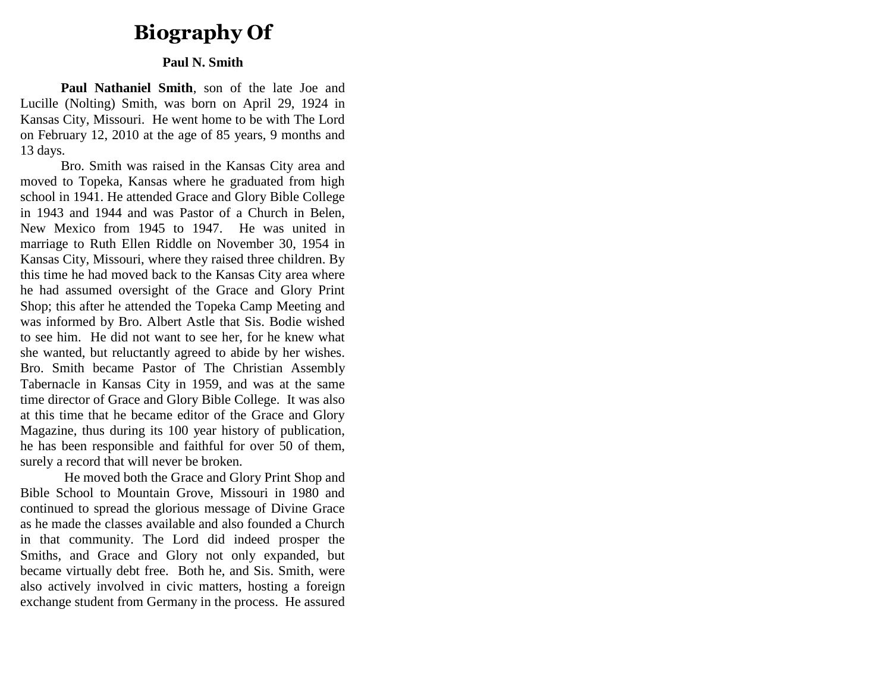# **Biography Of**

## **Paul N. Smith**

**Paul Nathaniel Smith**, son of the late Joe and Lucille (Nolting) Smith, was born on April 29, 1924 in Kansas City, Missouri. He went home to be with The Lord on February 12, 2010 at the age of 85 years, 9 months and 13 days.

Bro. Smith was raised in the Kansas City area and moved to Topeka, Kansas where he graduated from high school in 1941. He attended Grace and Glory Bible College in 1943 and 1944 and was Pastor of a Church in Belen, New Mexico from 1945 to 1947. He was united in marriage to Ruth Ellen Riddle on November 30, 1954 in Kansas City, Missouri, where they raised three children. By this time he had moved back to the Kansas City area where he had assumed oversight of the Grace and Glory Print Shop; this after he attended the Topeka Camp Meeting and was informed by Bro. Albert Astle that Sis. Bodie wished to see him. He did not want to see her, for he knew what she wanted, but reluctantly agreed to abide by her wishes. Bro. Smith became Pastor of The Christian Assembly Tabernacle in Kansas City in 1959, and was at the same time director of Grace and Glory Bible College. It was also at this time that he became editor of the Grace and Glory Magazine, thus during its 100 year history of publication, he has been responsible and faithful for over 50 of them, surely a record that will never be broken.

He moved both the Grace and Glory Print Shop and Bible School to Mountain Grove, Missouri in 1980 and continued to spread the glorious message of Divine Grace as he made the classes available and also founded a Church in that community. The Lord did indeed prosper the Smiths, and Grace and Glory not only expanded, but became virtually debt free. Both he, and Sis. Smith, were also actively involved in civic matters, hosting a foreign exchange student from Germany in the process. He assured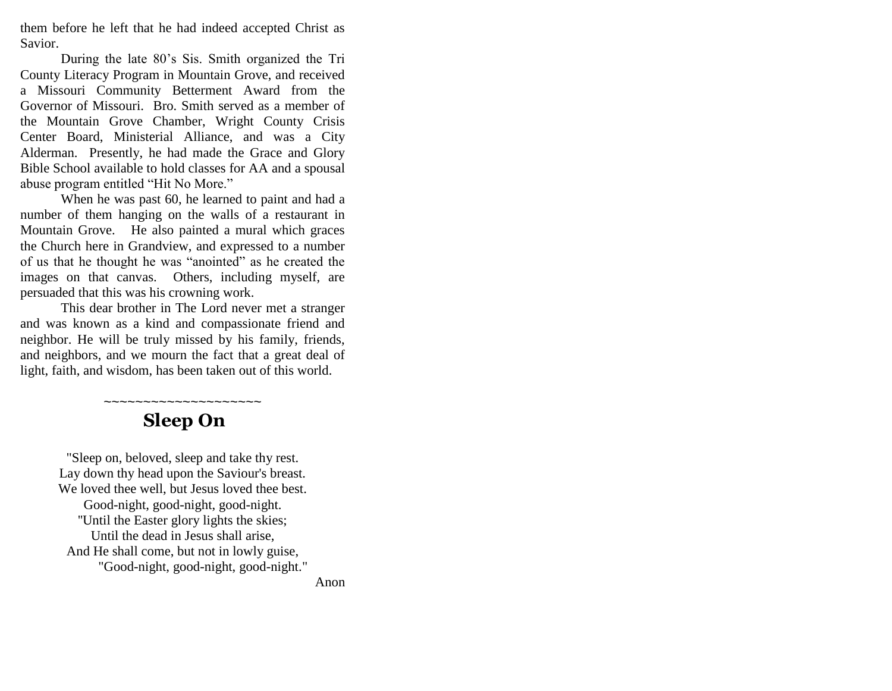them before he left that he had indeed accepted Christ as Savior.

During the late 80"s Sis. Smith organized the Tri County Literacy Program in Mountain Grove, and received a Missouri Community Betterment Award from the Governor of Missouri. Bro. Smith served as a member of the Mountain Grove Chamber, Wright County Crisis Center Board, Ministerial Alliance, and was a City Alderman. Presently, he had made the Grace and Glory Bible School available to hold classes for AA and a spousal abuse program entitled "Hit No More."

When he was past 60, he learned to paint and had a number of them hanging on the walls of a restaurant in Mountain Grove. He also painted a mural which graces the Church here in Grandview, and expressed to a number of us that he thought he was "anointed" as he created the images on that canvas. Others, including myself, are persuaded that this was his crowning work.

This dear brother in The Lord never met a stranger and was known as a kind and compassionate friend and neighbor. He will be truly missed by his family, friends, and neighbors, and we mourn the fact that a great deal of light, faith, and wisdom, has been taken out of this world.

# ~~~~~~~~~~~~~~~~~~~~  **Sleep On**

"Sleep on, beloved, sleep and take thy rest. Lay down thy head upon the Saviour's breast. We loved thee well, but Jesus loved thee best. Good-night, good-night, good-night. ''Until the Easter glory lights the skies; Until the dead in Jesus shall arise, And He shall come, but not in lowly guise, "Good-night, good-night, good-night."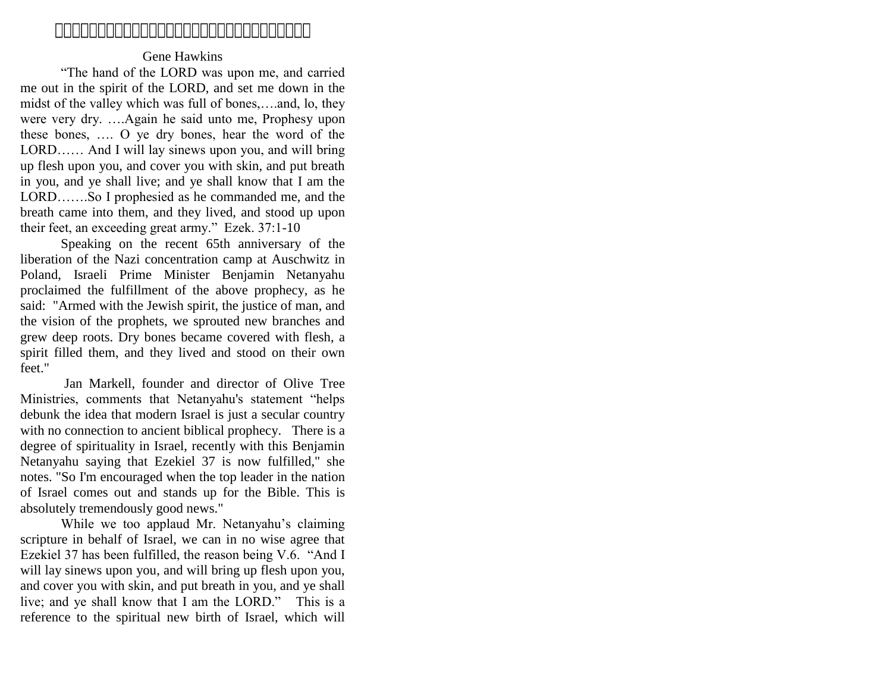# 

# Gene Hawkins

"The hand of the LORD was upon me, and carried me out in the spirit of the LORD, and set me down in the midst of the valley which was full of bones,….and, lo, they were very dry. ….Again he said unto me, Prophesy upon these bones, …. O ye dry bones, hear the word of the LORD…… And I will lay sinews upon you, and will bring up flesh upon you, and cover you with skin, and put breath in you, and ye shall live; and ye shall know that I am the LORD…….So I prophesied as he commanded me, and the breath came into them, and they lived, and stood up upon their feet, an exceeding great army." Ezek. 37:1-10

Speaking on the recent 65th anniversary of the liberation of the Nazi concentration camp at Auschwitz in Poland, Israeli Prime Minister Benjamin Netanyahu proclaimed the fulfillment of the above prophecy, as he said: "Armed with the Jewish spirit, the justice of man, and the vision of the prophets, we sprouted new branches and grew deep roots. Dry bones became covered with flesh, a spirit filled them, and they lived and stood on their own feet."

 Jan Markell, founder and director of Olive Tree Ministries, comments that Netanyahu's statement "helps debunk the idea that modern Israel is just a secular country with no connection to ancient biblical prophecy. There is a degree of spirituality in Israel, recently with this Benjamin Netanyahu saying that Ezekiel 37 is now fulfilled," she notes. "So I'm encouraged when the top leader in the nation of Israel comes out and stands up for the Bible. This is absolutely tremendously good news."

While we too applaud Mr. Netanyahu's claiming scripture in behalf of Israel, we can in no wise agree that Ezekiel 37 has been fulfilled, the reason being V.6. "And I will lay sinews upon you, and will bring up flesh upon you, and cover you with skin, and put breath in you, and ye shall live; and ye shall know that I am the LORD." This is a reference to the spiritual new birth of Israel, which will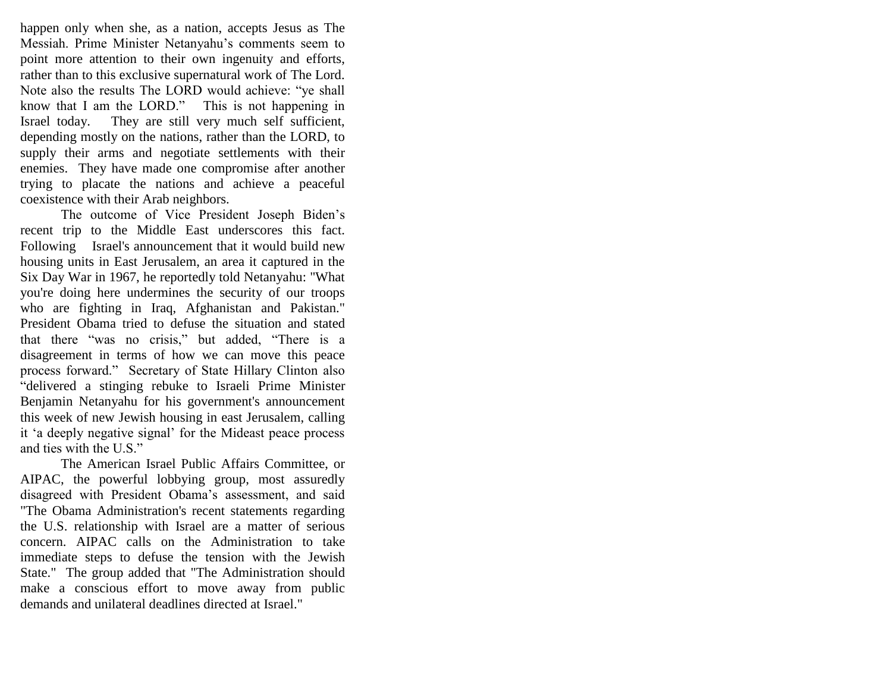happen only when she, as a nation, accepts Jesus as The Messiah. Prime Minister Netanyahu"s comments seem to point more attention to their own ingenuity and efforts, rather than to this exclusive supernatural work of The Lord. Note also the results The LORD would achieve: "ye shall know that I am the LORD." This is not happening in Israel today. They are still very much self sufficient, depending mostly on the nations, rather than the LORD, to supply their arms and negotiate settlements with their enemies. They have made one compromise after another trying to placate the nations and achieve a peaceful coexistence with their Arab neighbors.

The outcome of Vice President Joseph Biden"s recent trip to the Middle East underscores this fact. Following Israel's announcement that it would build new housing units in East Jerusalem, an area it captured in the Six Day War in 1967, he reportedly told Netanyahu: "What you're doing here undermines the security of our troops who are fighting in Iraq, Afghanistan and Pakistan." President Obama tried to defuse the situation and stated that there "was no crisis," but added, "There is a disagreement in terms of how we can move this peace process forward." Secretary of State Hillary Clinton also "delivered a stinging rebuke to Israeli Prime Minister Benjamin Netanyahu for his government's announcement this week of new Jewish housing in east Jerusalem, calling it "a deeply negative signal" for the Mideast peace process and ties with the U.S."

The American Israel Public Affairs Committee, or AIPAC, the powerful lobbying group, most assuredly disagreed with President Obama"s assessment, and said "The Obama Administration's recent statements regarding the U.S. relationship with Israel are a matter of serious concern. AIPAC calls on the Administration to take immediate steps to defuse the tension with the Jewish State." The group added that "The Administration should make a conscious effort to move away from public demands and unilateral deadlines directed at Israel."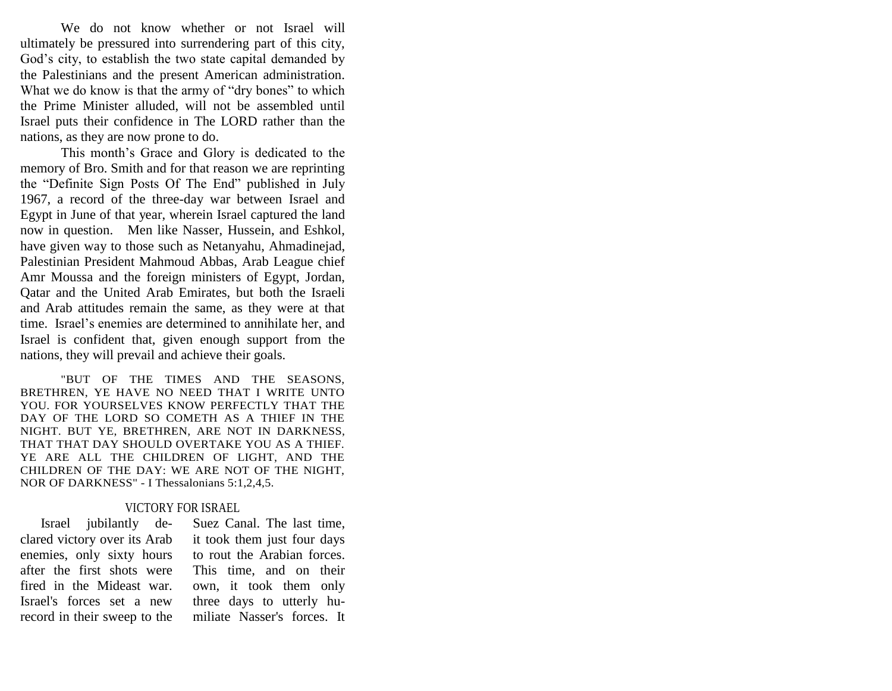We do not know whether or not Israel will ultimately be pressured into surrendering part of this city, God"s city, to establish the two state capital demanded by the Palestinians and the present American administration. What we do know is that the army of "dry bones" to which the Prime Minister alluded, will not be assembled until Israel puts their confidence in The LORD rather than the nations, as they are now prone to do.

This month"s Grace and Glory is dedicated to the memory of Bro. Smith and for that reason we are reprinting the "Definite Sign Posts Of The End" published in July 1967, a record of the three-day war between Israel and Egypt in June of that year, wherein Israel captured the land now in question. Men like Nasser, Hussein, and Eshkol, have given way to those such as Netanyahu, Ahmadinejad, Palestinian President Mahmoud Abbas, Arab League chief Amr Moussa and the foreign ministers of Egypt, Jordan, Qatar and the United Arab Emirates, but both the Israeli and Arab attitudes remain the same, as they were at that time. Israel"s enemies are determined to annihilate her, and Israel is confident that, given enough support from the nations, they will prevail and achieve their goals.

"BUT OF THE TIMES AND THE SEASONS, BRETHREN, YE HAVE NO NEED THAT I WRITE UNTO YOU. FOR YOURSELVES KNOW PERFECTLY THAT THE DAY OF THE LORD SO COMETH AS A THIEF IN THE NIGHT. BUT YE, BRETHREN, ARE NOT IN DARKNESS, THAT THAT DAY SHOULD OVERTAKE YOU AS A THIEF. YE ARE ALL THE CHILDREN OF LIGHT, AND THE CHILDREN OF THE DAY: WE ARE NOT OF THE NIGHT, NOR OF DARKNESS" - I Thessalonians 5:1,2,4,5.

#### VICTORY FOR ISRAEL

 Israel jubilantly declared victory over its Arab enemies, only sixty hours after the first shots were fired in the Mideast war. Israel's forces set a new record in their sweep to the

Suez Canal. The last time, it took them just four days to rout the Arabian forces. This time, and on their own, it took them only three days to utterly humiliate Nasser's forces. It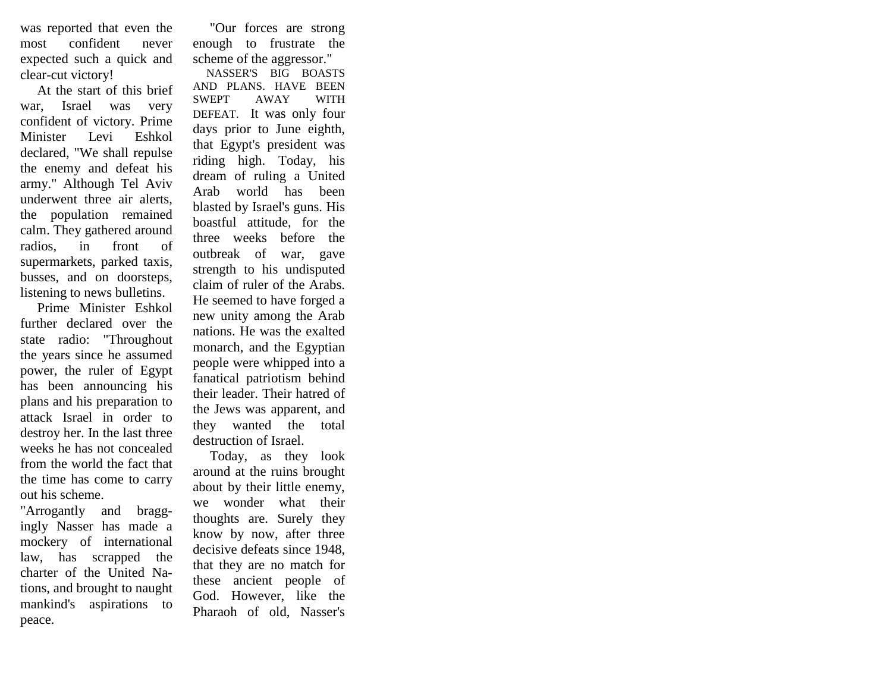was reported that even the most confident never expected such a quick and clear-cut victory!

 At the start of this brief war, Israel was very confident of victory. Prime Minister Levi Eshkol declared, "We shall repulse the enemy and defeat his army." Although Tel Aviv underwent three air alerts, the population remained calm. They gathered around radios, in front of supermarkets, parked taxis, busses, and on doorsteps, listening to news bulletins.

 Prime Minister Eshkol further declared over the state radio: "Throughout the years since he assumed power, the ruler of Egypt has been announcing his plans and his preparation to attack Israel in order to destroy her. In the last three weeks he has not concealed from the world the fact that the time has come to carry out his scheme.

"Arrogantly and braggingly Nasser has made a mockery of international law, has scrapped the charter of the United Nations, and brought to naught mankind's aspirations to peace.

 "Our forces are strong enough to frustrate the scheme of the aggressor."

 NASSER'S BIG BOASTS AND PLANS. HAVE BEEN SWEPT AWAY WITH DEFEAT. It was only four days prior to June eighth, that Egypt's president was riding high. Today, his dream of ruling a United Arab world has been blasted by Israel's guns. His boastful attitude, for the three weeks before the outbreak of war, gave strength to his undisputed claim of ruler of the Arabs. He seemed to have forged a new unity among the Arab nations. He was the exalted monarch, and the Egyptian people were whipped into a fanatical patriotism behind their leader. Their hatred of the Jews was apparent, and they wanted the total destruction of Israel.

 Today, as they look around at the ruins brought about by their little enemy, we wonder what their thoughts are. Surely they know by now, after three decisive defeats since 1948, that they are no match for these ancient people of God. However, like the Pharaoh of old, Nasser's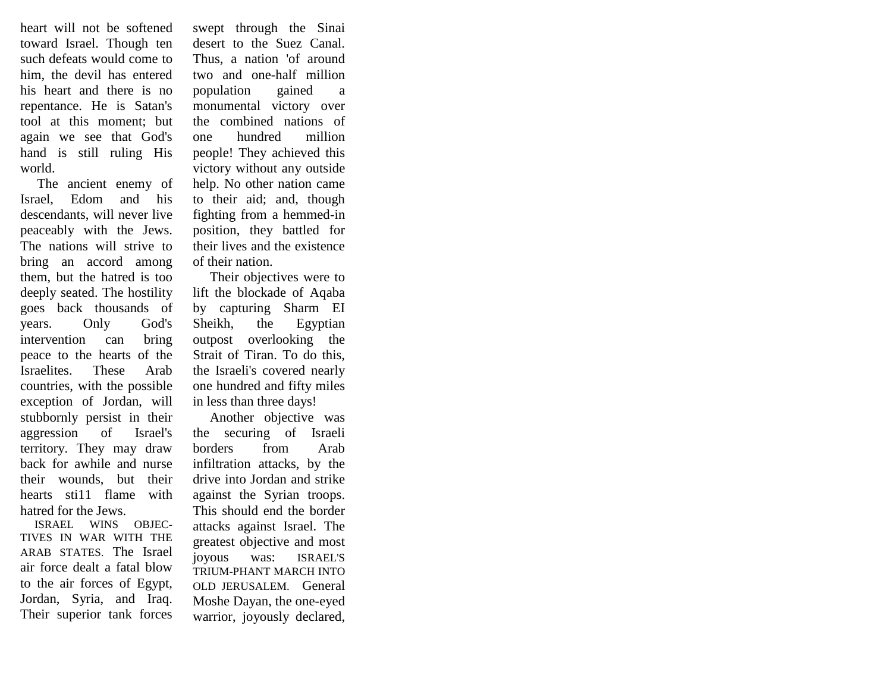heart will not be softened toward Israel. Though ten such defeats would come to him, the devil has entered his heart and there is no repentance. He is Satan's tool at this moment; but again we see that God's hand is still ruling His world.

 The ancient enemy of Israel, Edom and his descendants, will never live peaceably with the Jews. The nations will strive to bring an accord among them, but the hatred is too deeply seated. The hostility goes back thousands of years. Only God's intervention can bring peace to the hearts of the Israelites. These Arab countries, with the possible exception of Jordan, will stubbornly persist in their aggression of Israel's territory. They may draw back for awhile and nurse their wounds, but their hearts sti11 flame with hatred for the Jews.

 ISRAEL WINS OBJEC-TIVES IN WAR WITH THE ARAB STATES. The Israel air force dealt a fatal blow to the air forces of Egypt, Jordan, Syria, and Iraq. Their superior tank forces

swept through the Sinai desert to the Suez Canal. Thus, a nation 'of around two and one-half million population gained a monumental victory over the combined nations of one hundred million people! They achieved this victory without any outside help. No other nation came to their aid; and, though fighting from a hemmed-in position, they battled for their lives and the existence of their nation.

 Their objectives were to lift the blockade of Aqaba by capturing Sharm EI Sheikh, the Egyptian outpost overlooking the Strait of Tiran. To do this, the Israeli's covered nearly one hundred and fifty miles in less than three days!

 Another objective was the securing of Israeli borders from Arab infiltration attacks, by the drive into Jordan and strike against the Syrian troops. This should end the border attacks against Israel. The greatest objective and most joyous was: ISRAEL'S TRIUM-PHANT MARCH INTO OLD JERUSALEM. General Moshe Dayan, the one-eyed warrior, joyously declared,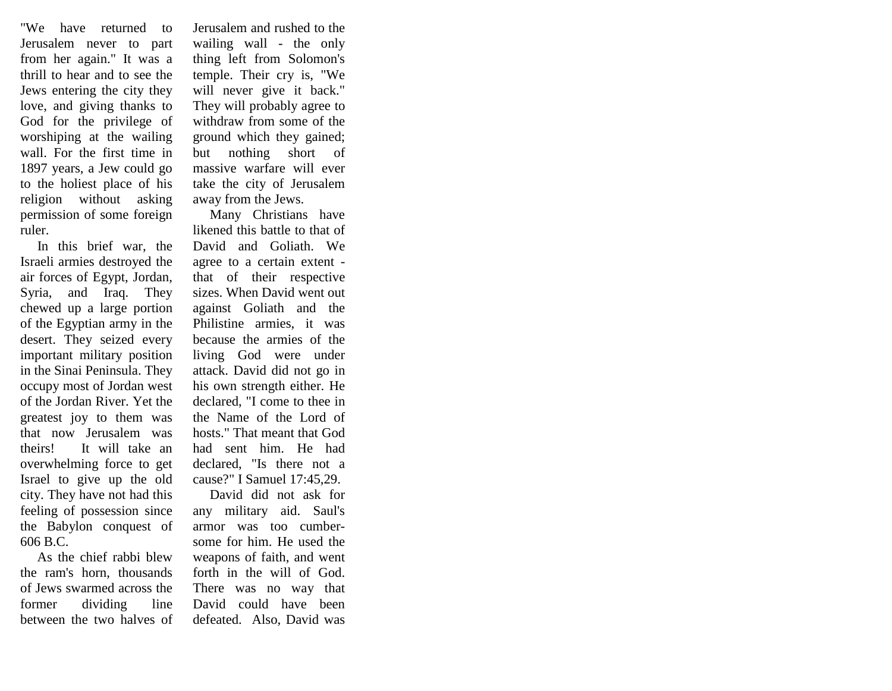"We have returned to Jerusalem never to part from her again." It was a thrill to hear and to see the Jews entering the city they love, and giving thanks to God for the privilege of worshiping at the wailing wall. For the first time in 1897 years, a Jew could go to the holiest place of his religion without asking permission of some foreign ruler.

 In this brief war, the Israeli armies destroyed the air forces of Egypt, Jordan, Syria, and Iraq. They chewed up a large portion of the Egyptian army in the desert. They seized every important military position in the Sinai Peninsula. They occupy most of Jordan west of the Jordan River. Yet the greatest joy to them was that now Jerusalem was theirs! It will take an overwhelming force to get Israel to give up the old city. They have not had this feeling of possession since the Babylon conquest of 606 B.C.

 As the chief rabbi blew the ram's horn, thousands of Jews swarmed across the former dividing line between the two halves of Jerusalem and rushed to the wailing wall - the only thing left from Solomon's temple. Their cry is, "We will never give it back." They will probably agree to withdraw from some of the ground which they gained; but nothing short of massive warfare will ever take the city of Jerusalem away from the Jews.

 Many Christians have likened this battle to that of David and Goliath. We agree to a certain extent that of their respective sizes. When David went out against Goliath and the Philistine armies, it was because the armies of the living God were under attack. David did not go in his own strength either. He declared, "I come to thee in the Name of the Lord of hosts." That meant that God had sent him. He had declared, "Is there not a cause?" I Samuel 17:45,29.

 David did not ask for any military aid. Saul's armor was too cumbersome for him. He used the weapons of faith, and went forth in the will of God. There was no way that David could have been defeated. Also, David was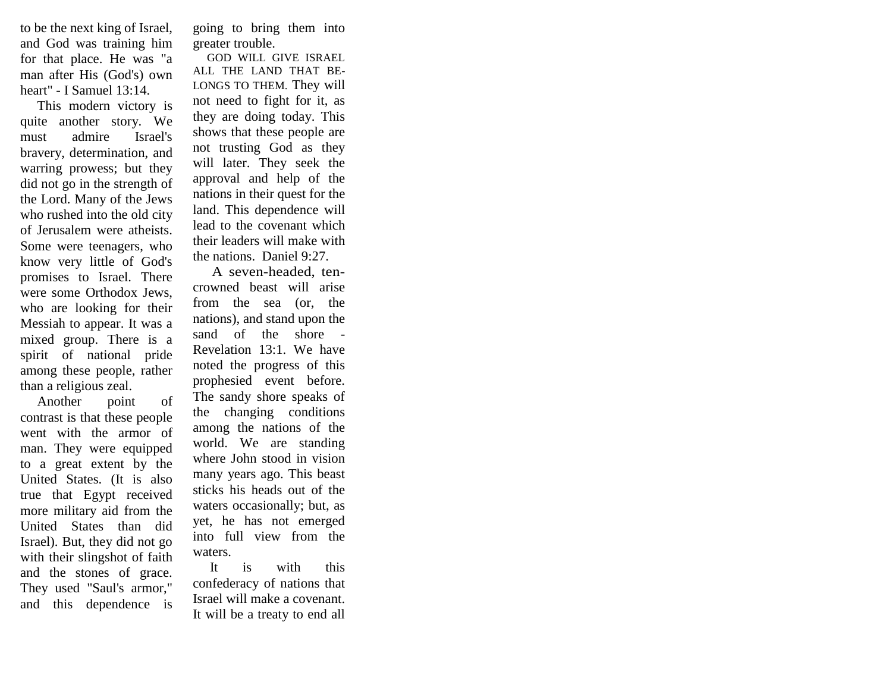to be the next king of Israel, and God was training him for that place. He was "a man after His (God's) own heart" - I Samuel 13:14.

 This modern victory is quite another story. We must admire Israel's bravery, determination, and warring prowess; but they did not go in the strength of the Lord. Many of the Jews who rushed into the old city of Jerusalem were atheists. Some were teenagers, who know very little of God's promises to Israel. There were some Orthodox Jews, who are looking for their Messiah to appear. It was a mixed group. There is a spirit of national pride among these people, rather than a religious zeal.

 Another point of contrast is that these people went with the armor of man. They were equipped to a great extent by the United States. (It is also true that Egypt received more military aid from the United States than did Israel). But, they did not go with their slingshot of faith and the stones of grace. They used "Saul's armor," and this dependence is

going to bring them into greater trouble.

 GOD WILL GIVE ISRAEL ALL THE LAND THAT BE-LONGS TO THEM. They will not need to fight for it, as they are doing today. This shows that these people are not trusting God as they will later. They seek the approval and help of the nations in their quest for the land. This dependence will lead to the covenant which their leaders will make with the nations. Daniel 9:27.

 A seven-headed, tencrowned beast will arise from the sea (or, the nations), and stand upon the sand of the shore - Revelation 13:1. We have noted the progress of this prophesied event before. The sandy shore speaks of the changing conditions among the nations of the world. We are standing where John stood in vision many years ago. This beast sticks his heads out of the waters occasionally; but, as yet, he has not emerged into full view from the waters.

 It is with this confederacy of nations that Israel will make a covenant. It will be a treaty to end all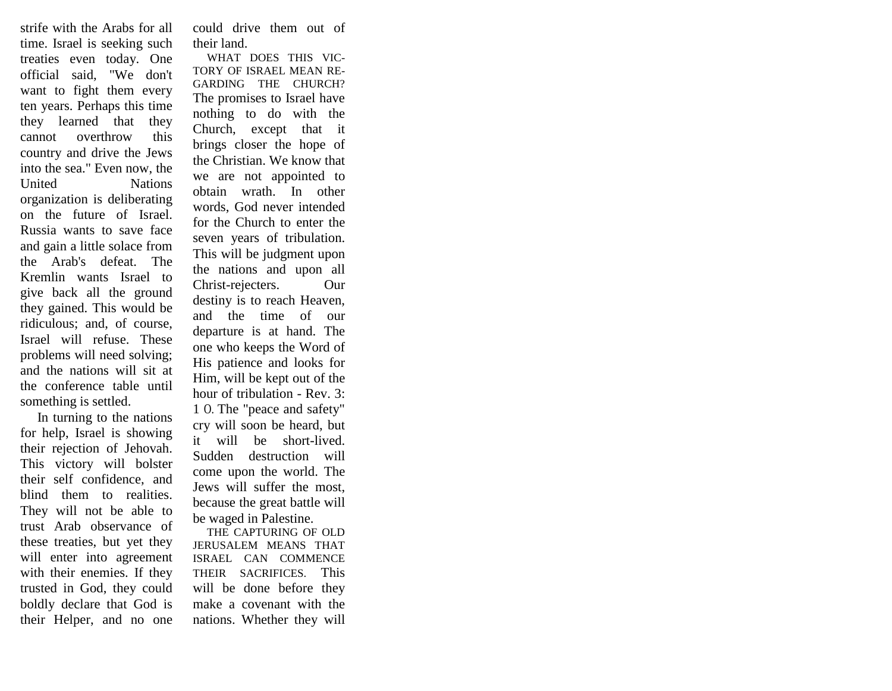strife with the Arabs for all time. Israel is seeking such treaties even today. One official said, "We don't want to fight them every ten years. Perhaps this time they learned that they cannot overthrow this country and drive the Jews into the sea." Even now, the United Nations organization is deliberating on the future of Israel. Russia wants to save face and gain a little solace from the Arab's defeat. The Kremlin wants Israel to give back all the ground they gained. This would be ridiculous; and, of course, Israel will refuse. These problems will need solving; and the nations will sit at the conference table until something is settled.

 In turning to the nations for help, Israel is showing their rejection of Jehovah. This victory will bolster their self confidence, and blind them to realities. They will not be able to trust Arab observance of these treaties, but yet they will enter into agreement with their enemies. If they trusted in God, they could boldly declare that God is their Helper, and no one

could drive them out of their land.

 WHAT DOES THIS VIC-TORY OF ISRAEL MEAN RE-GARDING THE CHURCH? The promises to Israel have nothing to do with the Church, except that it brings closer the hope of the Christian. We know that we are not appointed to obtain wrath. In other words, God never intended for the Church to enter the seven years of tribulation. This will be judgment upon the nations and upon all Christ-rejecters. Our destiny is to reach Heaven, and the time of our departure is at hand. The one who keeps the Word of His patience and looks for Him, will be kept out of the hour of tribulation - Rev. 3: 1 O. The "peace and safety" cry will soon be heard, but it will be short-lived. Sudden destruction will come upon the world. The Jews will suffer the most, because the great battle will be waged in Palestine.

 THE CAPTURING OF OLD JERUSALEM MEANS THAT ISRAEL CAN COMMENCE THEIR SACRIFICES. This will be done before they make a covenant with the nations. Whether they will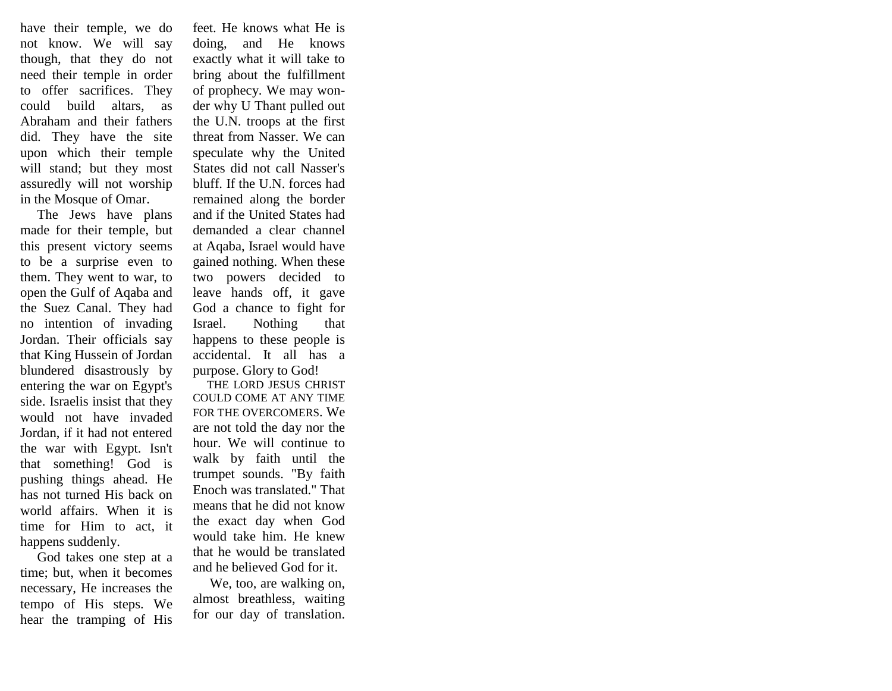have their temple, we do not know. We will say though, that they do not need their temple in order to offer sacrifices. They could build altars, as Abraham and their fathers did. They have the site upon which their temple will stand; but they most assuredly will not worship in the Mosque of Omar.

 The Jews have plans made for their temple, but this present victory seems to be a surprise even to them. They went to war, to open the Gulf of Aqaba and the Suez Canal. They had no intention of invading Jordan. Their officials say that King Hussein of Jordan blundered disastrously by entering the war on Egypt's side. Israelis insist that they would not have invaded Jordan, if it had not entered the war with Egypt. Isn't that something! God is pushing things ahead. He has not turned His back on world affairs. When it is time for Him to act, it happens suddenly.

 God takes one step at a time; but, when it becomes necessary, He increases the tempo of His steps. We hear the tramping of His

feet. He knows what He is doing, and He knows exactly what it will take to bring about the fulfillment of prophecy. We may wonder why U Thant pulled out the U.N. troops at the first threat from Nasser. We can speculate why the United States did not call Nasser's bluff. If the U.N. forces had remained along the border and if the United States had demanded a clear channel at Aqaba, Israel would have gained nothing. When these two powers decided to leave hands off, it gave God a chance to fight for Israel. Nothing that happens to these people is accidental. It all has a purpose. Glory to God!

 THE LORD JESUS CHRIST COULD COME AT ANY TIME FOR THE OVERCOMERS. We are not told the day nor the hour. We will continue to walk by faith until the trumpet sounds. "By faith Enoch was translated." That means that he did not know the exact day when God would take him. He knew that he would be translated and he believed God for it.

 We, too, are walking on, almost breathless, waiting for our day of translation.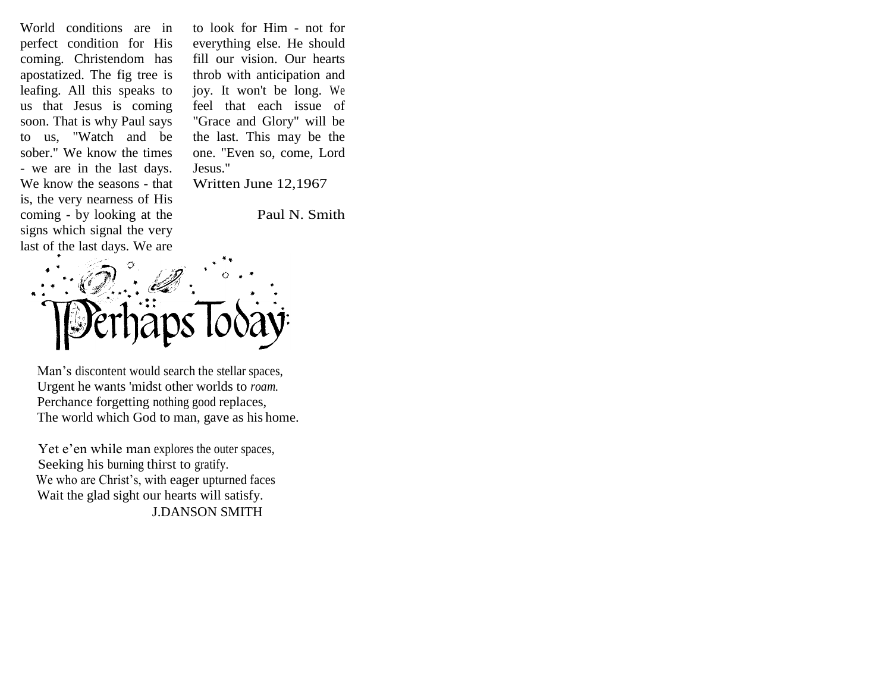World conditions are in perfect condition for His coming. Christendom has apostatized. The fig tree is leafing. All this speaks to us that Jesus is coming soon. That is why Paul says to us, "Watch and be sober." We know the times - we are in the last days. We know the seasons - that is, the very nearness of His coming - by looking at the signs which signal the very last of the last days. We are

to look for Him - not for everything else. He should fill our vision. Our hearts throb with anticipation and joy. It won't be long. We feel that each issue of "Grace and Glory" will be the last. This may be the one. "Even so, come, Lord Jesus." Written June 12,1967

Paul N. Smith



 Urgent he wants 'midst other worlds to *roam.*  Perchance forgetting nothing good replaces, The world which God to man, gave as his home.

Yet e'en while man explores the outer spaces, Seeking his burning thirst to gratify. We who are Christ's, with eager upturned faces Wait the glad sight our hearts will satisfy. J.DANSON SMITH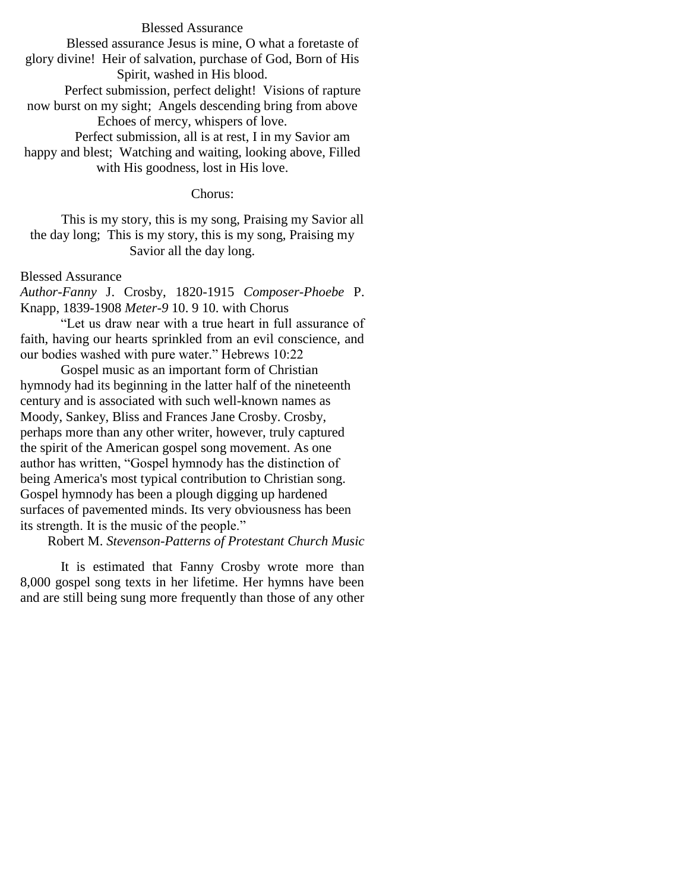### Blessed Assurance

Blessed assurance Jesus is mine, O what a foretaste of glory divine! Heir of salvation, purchase of God, Born of His Spirit, washed in His blood.

Perfect submission, perfect delight! Visions of rapture now burst on my sight; Angels descending bring from above Echoes of mercy, whispers of love.

Perfect submission, all is at rest, I in my Savior am happy and blest; Watching and waiting, looking above, Filled with His goodness, lost in His love.

### Chorus:

This is my story, this is my song, Praising my Savior all the day long; This is my story, this is my song, Praising my Savior all the day long.

### Blessed Assurance

*Author-Fanny* J. Crosby, 1820-1915 *Composer-Phoebe* P. Knapp, 1839-1908 *Meter-9* 10. 9 10. with Chorus

"Let us draw near with a true heart in full assurance of faith, having our hearts sprinkled from an evil conscience, and our bodies washed with pure water." Hebrews 10:22

Gospel music as an important form of Christian hymnody had its beginning in the latter half of the nineteenth century and is associated with such well-known names as Moody, Sankey, Bliss and Frances Jane Crosby. Crosby, perhaps more than any other writer, however, truly captured the spirit of the American gospel song movement. As one author has written, "Gospel hymnody has the distinction of being America's most typical contribution to Christian song. Gospel hymnody has been a plough digging up hardened surfaces of pavemented minds. Its very obviousness has been its strength. It is the music of the people."

## Robert M. *Stevenson-Patterns of Protestant Church Music*

It is estimated that Fanny Crosby wrote more than 8,000 gospel song texts in her lifetime. Her hymns have been and are still being sung more frequently than those of any other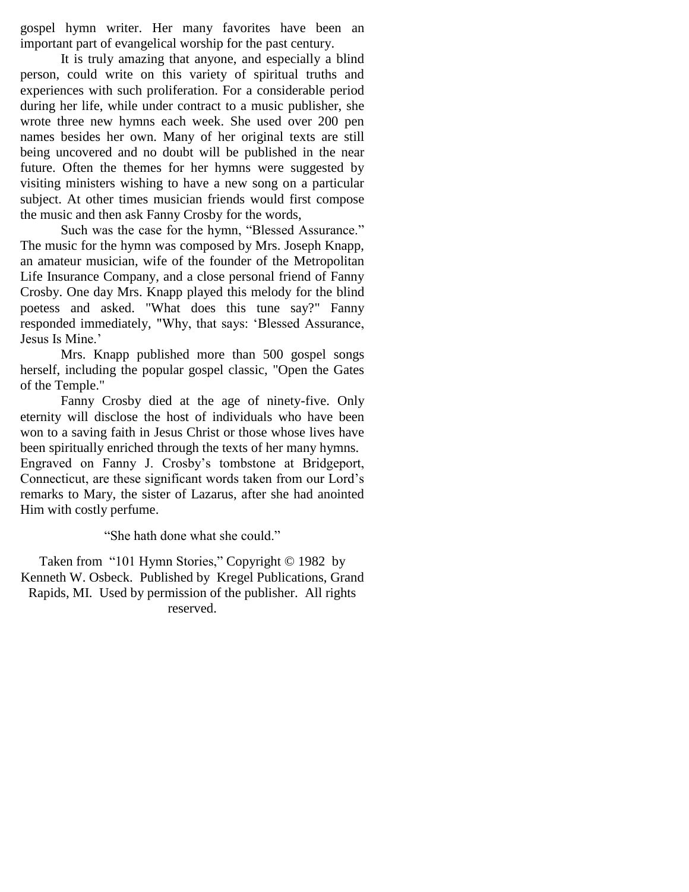gospel hymn writer. Her many favorites have been an important part of evangelical worship for the past century.

It is truly amazing that anyone, and especially a blind person, could write on this variety of spiritual truths and experiences with such proliferation. For a considerable period during her life, while under contract to a music publisher, she wrote three new hymns each week. She used over 200 pen names besides her own. Many of her original texts are still being uncovered and no doubt will be published in the near future. Often the themes for her hymns were suggested by visiting ministers wishing to have a new song on a particular subject. At other times musician friends would first compose the music and then ask Fanny Crosby for the words,

Such was the case for the hymn, "Blessed Assurance." The music for the hymn was composed by Mrs. Joseph Knapp, an amateur musician, wife of the founder of the Metropolitan Life Insurance Company, and a close personal friend of Fanny Crosby. One day Mrs. Knapp played this melody for the blind poetess and asked. "What does this tune say?" Fanny responded immediately, "Why, that says: "Blessed Assurance, Jesus Is Mine.'

Mrs. Knapp published more than 500 gospel songs herself, including the popular gospel classic, "Open the Gates of the Temple."

Fanny Crosby died at the age of ninety-five. Only eternity will disclose the host of individuals who have been won to a saving faith in Jesus Christ or those whose lives have been spiritually enriched through the texts of her many hymns. Engraved on Fanny J. Crosby"s tombstone at Bridgeport, Connecticut, are these significant words taken from our Lord"s remarks to Mary, the sister of Lazarus, after she had anointed Him with costly perfume.

"She hath done what she could."

Taken from "101 Hymn Stories," Copyright © 1982 by Kenneth W. Osbeck. Published by Kregel Publications, Grand Rapids, MI. Used by permission of the publisher. All rights reserved.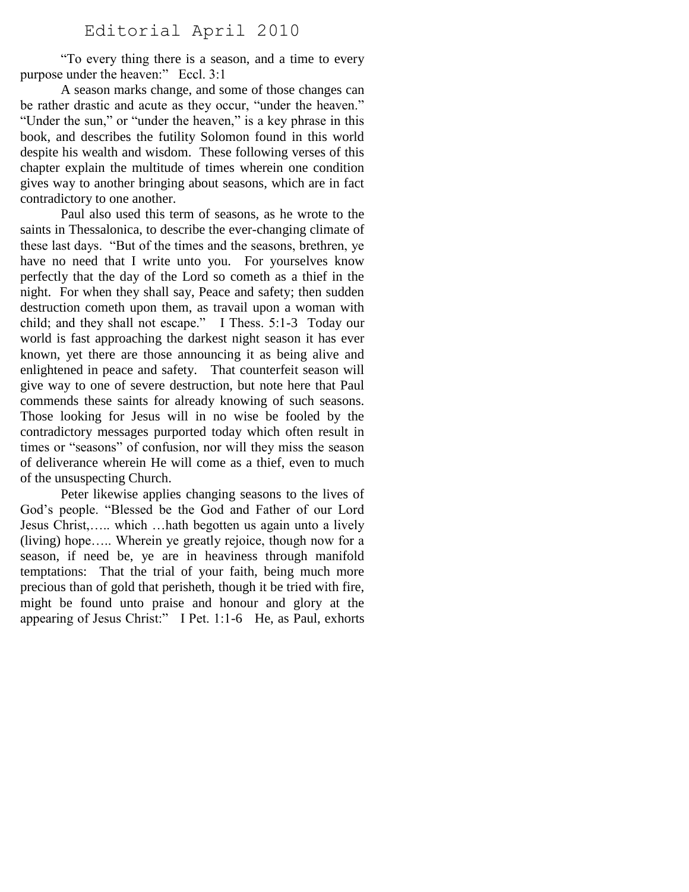# Editorial April 2010

"To every thing there is a season, and a time to every purpose under the heaven:" Eccl. 3:1

A season marks change, and some of those changes can be rather drastic and acute as they occur, "under the heaven." "Under the sun," or "under the heaven," is a key phrase in this book, and describes the futility Solomon found in this world despite his wealth and wisdom. These following verses of this chapter explain the multitude of times wherein one condition gives way to another bringing about seasons, which are in fact contradictory to one another.

Paul also used this term of seasons, as he wrote to the saints in Thessalonica, to describe the ever-changing climate of these last days. "But of the times and the seasons, brethren, ye have no need that I write unto you. For yourselves know perfectly that the day of the Lord so cometh as a thief in the night. For when they shall say, Peace and safety; then sudden destruction cometh upon them, as travail upon a woman with child; and they shall not escape." I Thess. 5:1-3 Today our world is fast approaching the darkest night season it has ever known, yet there are those announcing it as being alive and enlightened in peace and safety. That counterfeit season will give way to one of severe destruction, but note here that Paul commends these saints for already knowing of such seasons. Those looking for Jesus will in no wise be fooled by the contradictory messages purported today which often result in times or "seasons" of confusion, nor will they miss the season of deliverance wherein He will come as a thief, even to much of the unsuspecting Church.

Peter likewise applies changing seasons to the lives of God"s people. "Blessed be the God and Father of our Lord Jesus Christ,….. which …hath begotten us again unto a lively (living) hope….. Wherein ye greatly rejoice, though now for a season, if need be, ye are in heaviness through manifold temptations: That the trial of your faith, being much more precious than of gold that perisheth, though it be tried with fire, might be found unto praise and honour and glory at the appearing of Jesus Christ:" I Pet. 1:1-6 He, as Paul, exhorts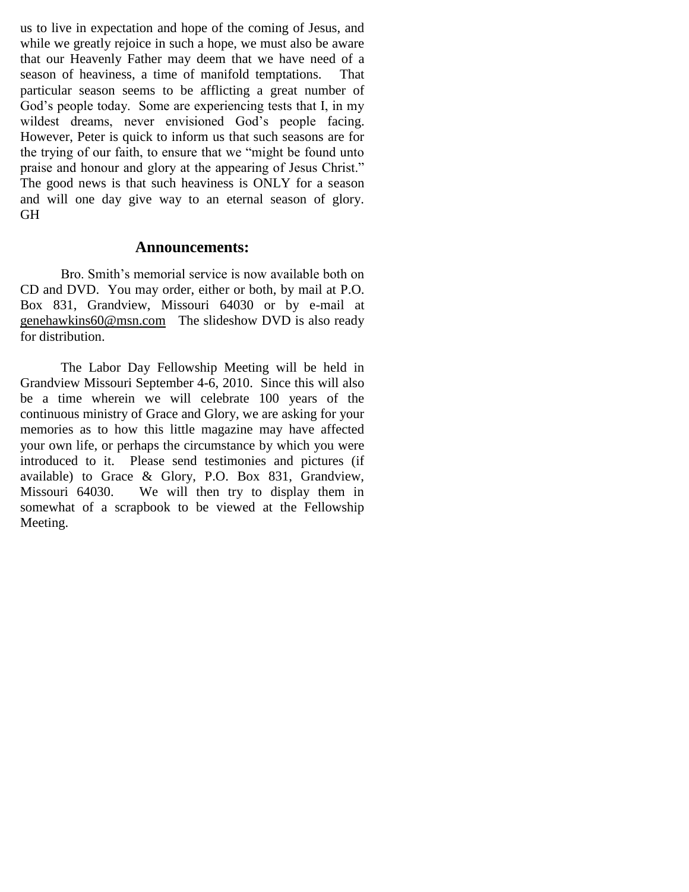us to live in expectation and hope of the coming of Jesus, and while we greatly rejoice in such a hope, we must also be aware that our Heavenly Father may deem that we have need of a season of heaviness, a time of manifold temptations. That particular season seems to be afflicting a great number of God's people today. Some are experiencing tests that I, in my wildest dreams, never envisioned God's people facing. However, Peter is quick to inform us that such seasons are for the trying of our faith, to ensure that we "might be found unto praise and honour and glory at the appearing of Jesus Christ." The good news is that such heaviness is ONLY for a season and will one day give way to an eternal season of glory. GH

## **Announcements:**

Bro. Smith's memorial service is now available both on CD and DVD. You may order, either or both, by mail at P.O. Box 831, Grandview, Missouri 64030 or by e-mail at [genehawkins60@msn.com](mailto:genehawkins60@msn.com) The slideshow DVD is also ready for distribution.

The Labor Day Fellowship Meeting will be held in Grandview Missouri September 4-6, 2010. Since this will also be a time wherein we will celebrate 100 years of the continuous ministry of Grace and Glory, we are asking for your memories as to how this little magazine may have affected your own life, or perhaps the circumstance by which you were introduced to it. Please send testimonies and pictures (if available) to Grace & Glory, P.O. Box 831, Grandview, Missouri 64030. We will then try to display them in somewhat of a scrapbook to be viewed at the Fellowship Meeting.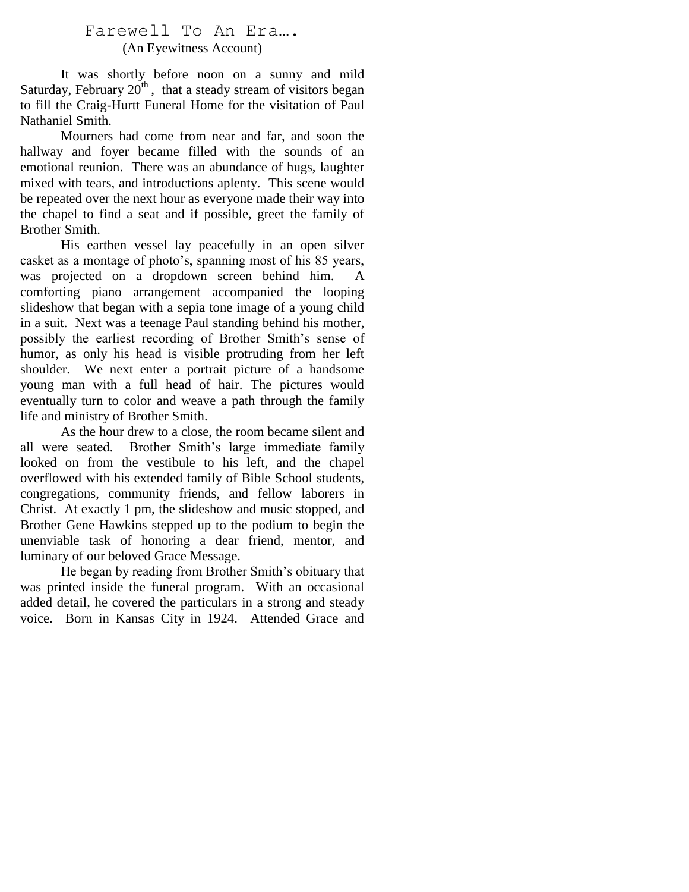# Farewell To An Era…. (An Eyewitness Account)

It was shortly before noon on a sunny and mild Saturday, February  $20^{th}$ , that a steady stream of visitors began to fill the Craig-Hurtt Funeral Home for the visitation of Paul Nathaniel Smith.

Mourners had come from near and far, and soon the hallway and foyer became filled with the sounds of an emotional reunion. There was an abundance of hugs, laughter mixed with tears, and introductions aplenty. This scene would be repeated over the next hour as everyone made their way into the chapel to find a seat and if possible, greet the family of Brother Smith.

His earthen vessel lay peacefully in an open silver casket as a montage of photo's, spanning most of his 85 years, was projected on a dropdown screen behind him. A comforting piano arrangement accompanied the looping slideshow that began with a sepia tone image of a young child in a suit. Next was a teenage Paul standing behind his mother, possibly the earliest recording of Brother Smith"s sense of humor, as only his head is visible protruding from her left shoulder. We next enter a portrait picture of a handsome young man with a full head of hair. The pictures would eventually turn to color and weave a path through the family life and ministry of Brother Smith.

As the hour drew to a close, the room became silent and all were seated. Brother Smith"s large immediate family looked on from the vestibule to his left, and the chapel overflowed with his extended family of Bible School students, congregations, community friends, and fellow laborers in Christ. At exactly 1 pm, the slideshow and music stopped, and Brother Gene Hawkins stepped up to the podium to begin the unenviable task of honoring a dear friend, mentor, and luminary of our beloved Grace Message.

He began by reading from Brother Smith's obituary that was printed inside the funeral program. With an occasional added detail, he covered the particulars in a strong and steady voice. Born in Kansas City in 1924. Attended Grace and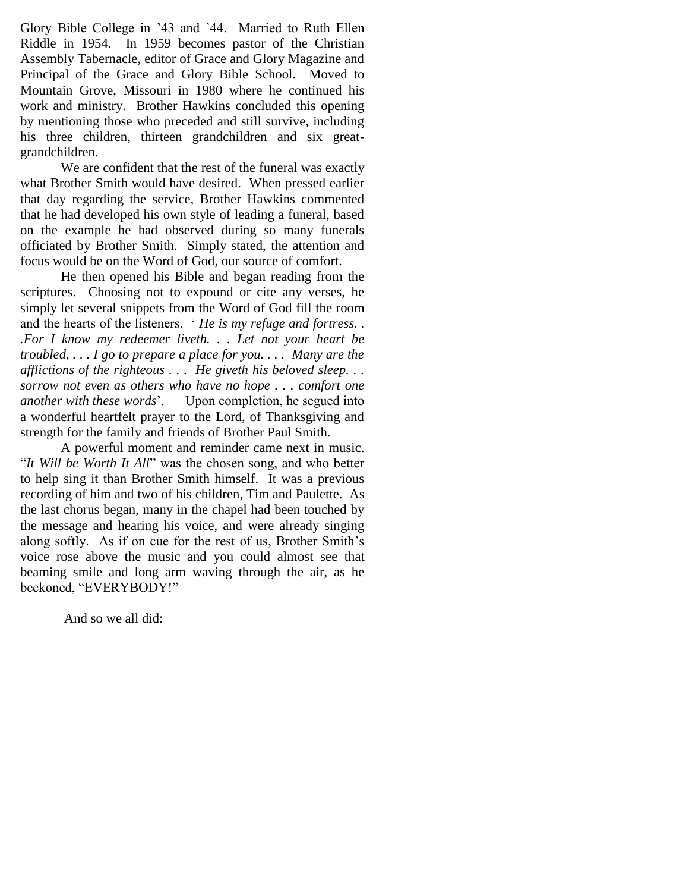Glory Bible College in "43 and "44. Married to Ruth Ellen Riddle in 1954. In 1959 becomes pastor of the Christian Assembly Tabernacle, editor of Grace and Glory Magazine and Principal of the Grace and Glory Bible School. Moved to Mountain Grove, Missouri in 1980 where he continued his work and ministry. Brother Hawkins concluded this opening by mentioning those who preceded and still survive, including his three children, thirteen grandchildren and six greatgrandchildren.

We are confident that the rest of the funeral was exactly what Brother Smith would have desired. When pressed earlier that day regarding the service, Brother Hawkins commented that he had developed his own style of leading a funeral, based on the example he had observed during so many funerals officiated by Brother Smith. Simply stated, the attention and focus would be on the Word of God, our source of comfort.

He then opened his Bible and began reading from the scriptures. Choosing not to expound or cite any verses, he simply let several snippets from the Word of God fill the room and the hearts of the listeners. " *He is my refuge and fortress. . .For I know my redeemer liveth. . . Let not your heart be troubled, . . . I go to prepare a place for you. . . . Many are the afflictions of the righteous . . . He giveth his beloved sleep. . . sorrow not even as others who have no hope . . . comfort one another with these words*". Upon completion, he segued into a wonderful heartfelt prayer to the Lord, of Thanksgiving and strength for the family and friends of Brother Paul Smith.

A powerful moment and reminder came next in music. "*It Will be Worth It All*" was the chosen song, and who better to help sing it than Brother Smith himself. It was a previous recording of him and two of his children, Tim and Paulette. As the last chorus began, many in the chapel had been touched by the message and hearing his voice, and were already singing along softly. As if on cue for the rest of us, Brother Smith"s voice rose above the music and you could almost see that beaming smile and long arm waving through the air, as he beckoned, "EVERYBODY!"

And so we all did: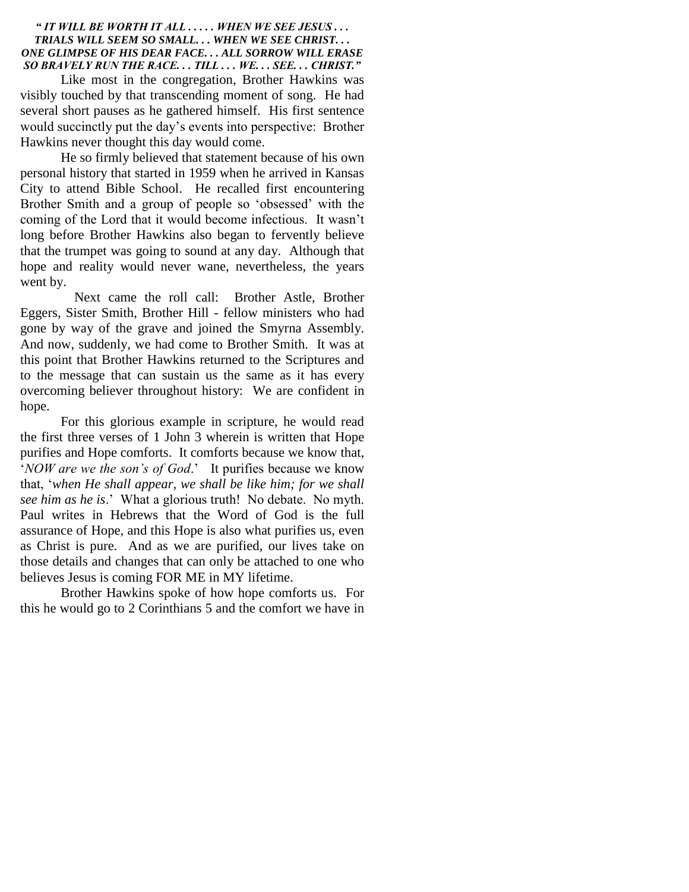#### *" IT WILL BE WORTH IT ALL . . . . . WHEN WE SEE JESUS . . . TRIALS WILL SEEM SO SMALL. . . WHEN WE SEE CHRIST. . . ONE GLIMPSE OF HIS DEAR FACE. . . ALL SORROW WILL ERASE SO BRAVELY RUN THE RACE. . . TILL . . . WE. . . SEE. . . CHRIST."*

Like most in the congregation, Brother Hawkins was visibly touched by that transcending moment of song. He had several short pauses as he gathered himself. His first sentence would succinctly put the day"s events into perspective: Brother Hawkins never thought this day would come.

He so firmly believed that statement because of his own personal history that started in 1959 when he arrived in Kansas City to attend Bible School. He recalled first encountering Brother Smith and a group of people so "obsessed" with the coming of the Lord that it would become infectious. It wasn"t long before Brother Hawkins also began to fervently believe that the trumpet was going to sound at any day. Although that hope and reality would never wane, nevertheless, the years went by.

 Next came the roll call: Brother Astle, Brother Eggers, Sister Smith, Brother Hill - fellow ministers who had gone by way of the grave and joined the Smyrna Assembly. And now, suddenly, we had come to Brother Smith. It was at this point that Brother Hawkins returned to the Scriptures and to the message that can sustain us the same as it has every overcoming believer throughout history: We are confident in hope.

For this glorious example in scripture, he would read the first three verses of 1 John 3 wherein is written that Hope purifies and Hope comforts. It comforts because we know that, '*NOW are we the son's of God*.' It purifies because we know that, "*when He shall appear, we shall be like him; for we shall see him as he is*." What a glorious truth! No debate. No myth. Paul writes in Hebrews that the Word of God is the full assurance of Hope, and this Hope is also what purifies us, even as Christ is pure. And as we are purified, our lives take on those details and changes that can only be attached to one who believes Jesus is coming FOR ME in MY lifetime.

Brother Hawkins spoke of how hope comforts us. For this he would go to 2 Corinthians 5 and the comfort we have in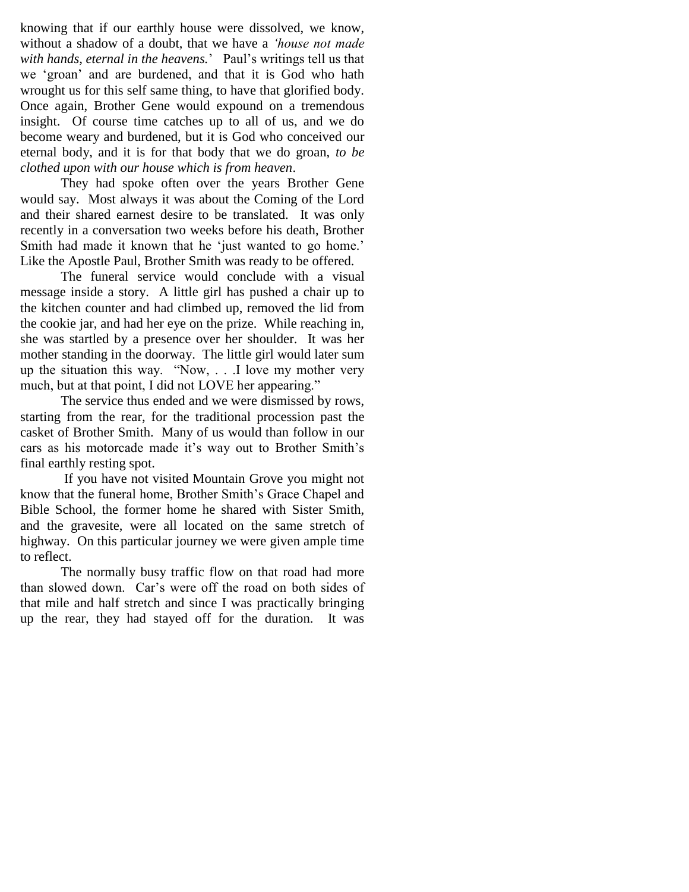knowing that if our earthly house were dissolved, we know, without a shadow of a doubt, that we have a *"house not made*  with hands, eternal in the heavens.' Paul's writings tell us that we "groan" and are burdened, and that it is God who hath wrought us for this self same thing, to have that glorified body. Once again, Brother Gene would expound on a tremendous insight. Of course time catches up to all of us, and we do become weary and burdened, but it is God who conceived our eternal body, and it is for that body that we do groan, *to be clothed upon with our house which is from heaven*.

They had spoke often over the years Brother Gene would say. Most always it was about the Coming of the Lord and their shared earnest desire to be translated. It was only recently in a conversation two weeks before his death, Brother Smith had made it known that he 'just wanted to go home.' Like the Apostle Paul, Brother Smith was ready to be offered.

The funeral service would conclude with a visual message inside a story. A little girl has pushed a chair up to the kitchen counter and had climbed up, removed the lid from the cookie jar, and had her eye on the prize. While reaching in, she was startled by a presence over her shoulder. It was her mother standing in the doorway. The little girl would later sum up the situation this way. "Now, . . .I love my mother very much, but at that point, I did not LOVE her appearing."

The service thus ended and we were dismissed by rows, starting from the rear, for the traditional procession past the casket of Brother Smith. Many of us would than follow in our cars as his motorcade made it's way out to Brother Smith's final earthly resting spot.

If you have not visited Mountain Grove you might not know that the funeral home, Brother Smith"s Grace Chapel and Bible School, the former home he shared with Sister Smith, and the gravesite, were all located on the same stretch of highway. On this particular journey we were given ample time to reflect.

The normally busy traffic flow on that road had more than slowed down. Car"s were off the road on both sides of that mile and half stretch and since I was practically bringing up the rear, they had stayed off for the duration. It was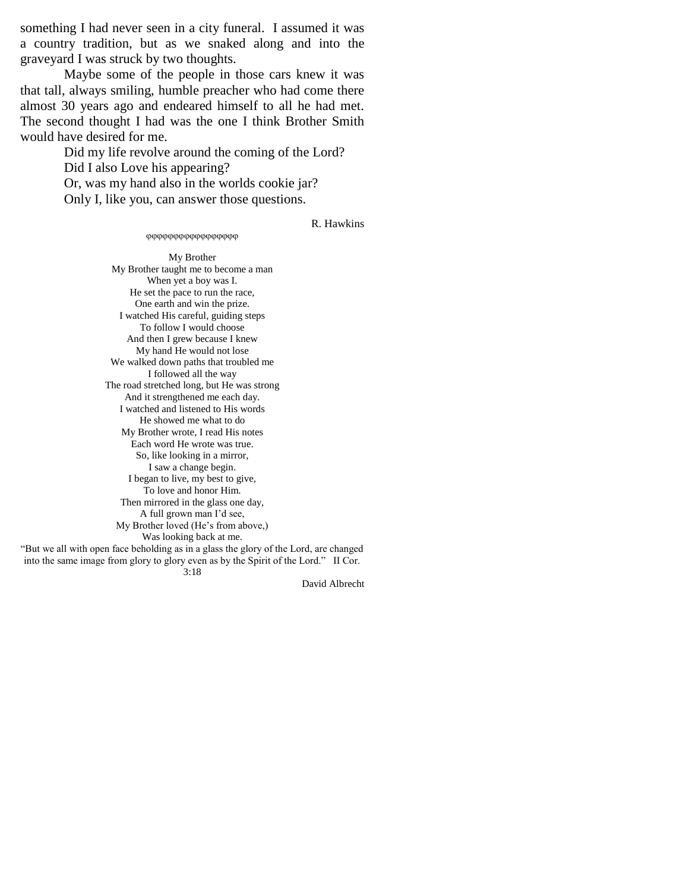something I had never seen in a city funeral. I assumed it was a country tradition, but as we snaked along and into the graveyard I was struck by two thoughts.

Maybe some of the people in those cars knew it was that tall, always smiling, humble preacher who had come there almost 30 years ago and endeared himself to all he had met. The second thought I had was the one I think Brother Smith would have desired for me.

> Did my life revolve around the coming of the Lord? Did I also Love his appearing? Or, was my hand also in the worlds cookie jar? Only I, like you, can answer those questions.

R. Hawkins

#### φφφφφφφφφφφφφφφ

My Brother My Brother taught me to become a man When yet a boy was I. He set the pace to run the race, One earth and win the prize. I watched His careful, guiding steps To follow I would choose And then I grew because I knew My hand He would not lose We walked down paths that troubled me I followed all the way The road stretched long, but He was strong And it strengthened me each day. I watched and listened to His words He showed me what to do My Brother wrote, I read His notes Each word He wrote was true. So, like looking in a mirror, I saw a change begin. I began to live, my best to give, To love and honor Him. Then mirrored in the glass one day, A full grown man I"d see, My Brother loved (He's from above,) Was looking back at me. "But we all with open face beholding as in a glass the glory of the Lord, are changed into the same image from glory to glory even as by the Spirit of the Lord." II Cor.

3:18

David Albrecht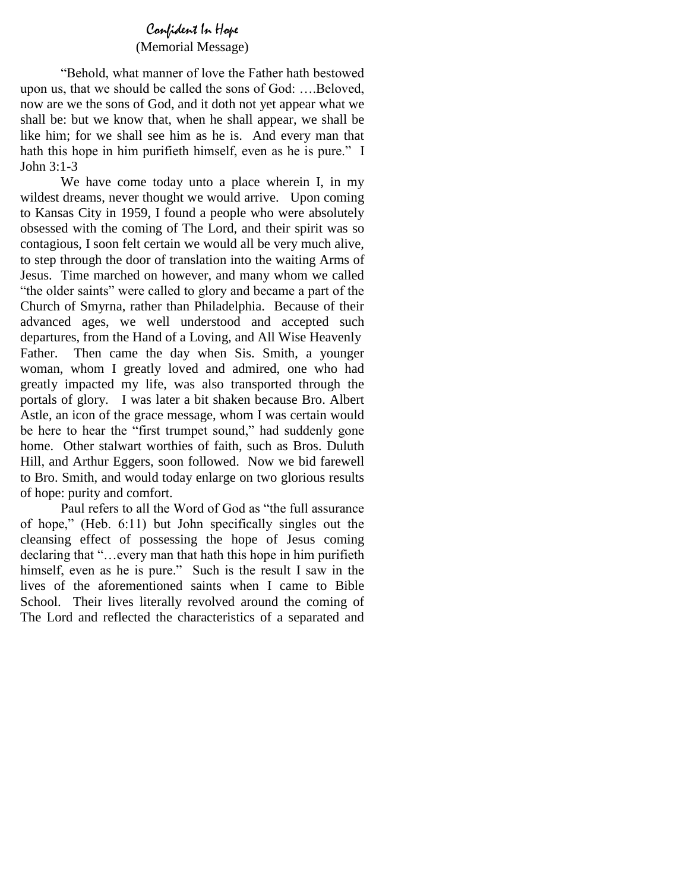# Confident In Hope

## (Memorial Message)

"Behold, what manner of love the Father hath bestowed upon us, that we should be called the sons of God: ….Beloved, now are we the sons of God, and it doth not yet appear what we shall be: but we know that, when he shall appear, we shall be like him; for we shall see him as he is. And every man that hath this hope in him purifieth himself, even as he is pure." I John 3:1-3

We have come today unto a place wherein I, in my wildest dreams, never thought we would arrive. Upon coming to Kansas City in 1959, I found a people who were absolutely obsessed with the coming of The Lord, and their spirit was so contagious, I soon felt certain we would all be very much alive, to step through the door of translation into the waiting Arms of Jesus. Time marched on however, and many whom we called "the older saints" were called to glory and became a part of the Church of Smyrna, rather than Philadelphia. Because of their advanced ages, we well understood and accepted such departures, from the Hand of a Loving, and All Wise Heavenly Father. Then came the day when Sis. Smith, a younger woman, whom I greatly loved and admired, one who had greatly impacted my life, was also transported through the portals of glory. I was later a bit shaken because Bro. Albert Astle, an icon of the grace message, whom I was certain would be here to hear the "first trumpet sound," had suddenly gone home. Other stalwart worthies of faith, such as Bros. Duluth Hill, and Arthur Eggers, soon followed. Now we bid farewell to Bro. Smith, and would today enlarge on two glorious results of hope: purity and comfort.

Paul refers to all the Word of God as "the full assurance of hope," (Heb. 6:11) but John specifically singles out the cleansing effect of possessing the hope of Jesus coming declaring that "...every man that hath this hope in him purifieth himself, even as he is pure." Such is the result I saw in the lives of the aforementioned saints when I came to Bible School. Their lives literally revolved around the coming of The Lord and reflected the characteristics of a separated and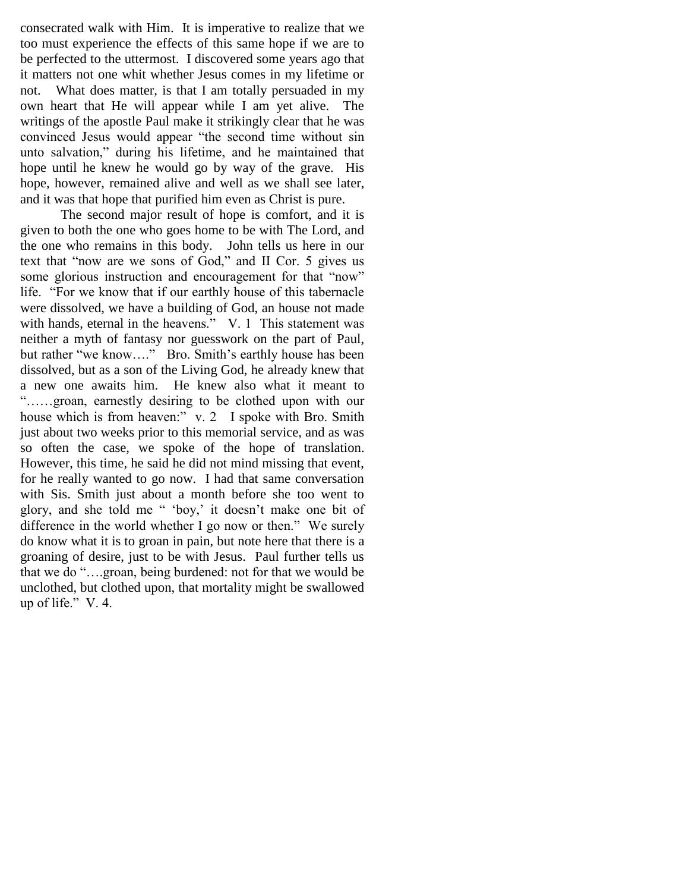consecrated walk with Him. It is imperative to realize that we too must experience the effects of this same hope if we are to be perfected to the uttermost. I discovered some years ago that it matters not one whit whether Jesus comes in my lifetime or not. What does matter, is that I am totally persuaded in my own heart that He will appear while I am yet alive. The writings of the apostle Paul make it strikingly clear that he was convinced Jesus would appear "the second time without sin unto salvation," during his lifetime, and he maintained that hope until he knew he would go by way of the grave. His hope, however, remained alive and well as we shall see later, and it was that hope that purified him even as Christ is pure.

The second major result of hope is comfort, and it is given to both the one who goes home to be with The Lord, and the one who remains in this body. John tells us here in our text that "now are we sons of God," and II Cor. 5 gives us some glorious instruction and encouragement for that "now" life. "For we know that if our earthly house of this tabernacle were dissolved, we have a building of God, an house not made with hands, eternal in the heavens." V. 1 This statement was neither a myth of fantasy nor guesswork on the part of Paul, but rather "we know…." Bro. Smith"s earthly house has been dissolved, but as a son of the Living God, he already knew that a new one awaits him. He knew also what it meant to "……groan, earnestly desiring to be clothed upon with our house which is from heaven:" v. 2 I spoke with Bro. Smith just about two weeks prior to this memorial service, and as was so often the case, we spoke of the hope of translation. However, this time, he said he did not mind missing that event, for he really wanted to go now. I had that same conversation with Sis. Smith just about a month before she too went to glory, and she told me " 'boy,' it doesn't make one bit of difference in the world whether I go now or then." We surely do know what it is to groan in pain, but note here that there is a groaning of desire, just to be with Jesus. Paul further tells us that we do "….groan, being burdened: not for that we would be unclothed, but clothed upon, that mortality might be swallowed up of life." V. 4.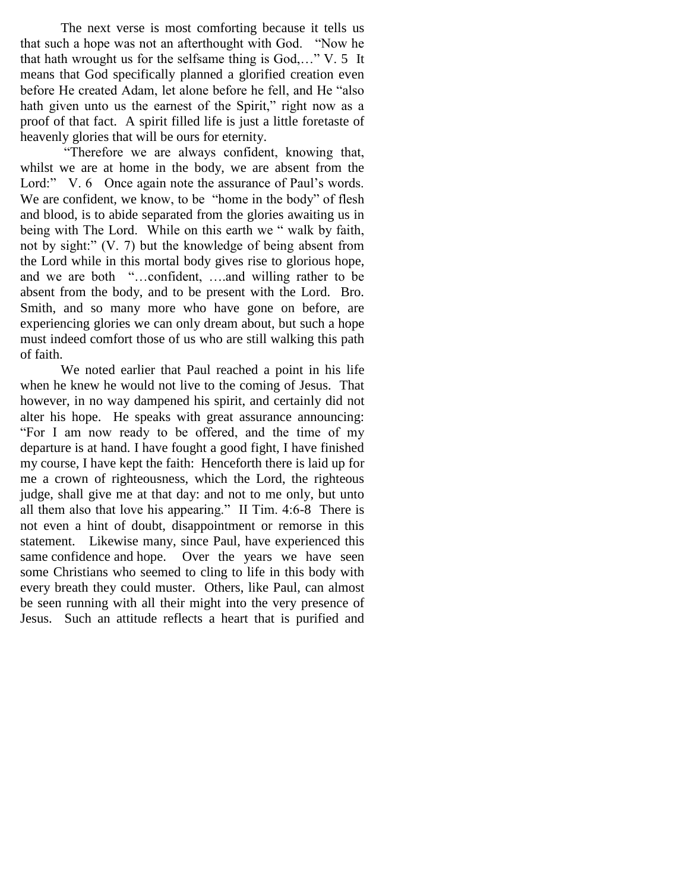The next verse is most comforting because it tells us that such a hope was not an afterthought with God. "Now he that hath wrought us for the selfsame thing is God,…" V. 5 It means that God specifically planned a glorified creation even before He created Adam, let alone before he fell, and He "also hath given unto us the earnest of the Spirit," right now as a proof of that fact. A spirit filled life is just a little foretaste of heavenly glories that will be ours for eternity.

 "Therefore we are always confident, knowing that, whilst we are at home in the body, we are absent from the Lord:" V. 6 Once again note the assurance of Paul's words. We are confident, we know, to be "home in the body" of flesh and blood, is to abide separated from the glories awaiting us in being with The Lord. While on this earth we " walk by faith, not by sight:" (V. 7) but the knowledge of being absent from the Lord while in this mortal body gives rise to glorious hope, and we are both "…confident, ….and willing rather to be absent from the body, and to be present with the Lord. Bro. Smith, and so many more who have gone on before, are experiencing glories we can only dream about, but such a hope must indeed comfort those of us who are still walking this path of faith.

We noted earlier that Paul reached a point in his life when he knew he would not live to the coming of Jesus. That however, in no way dampened his spirit, and certainly did not alter his hope. He speaks with great assurance announcing: "For I am now ready to be offered, and the time of my departure is at hand. I have fought a good fight, I have finished my course, I have kept the faith: Henceforth there is laid up for me a crown of righteousness, which the Lord, the righteous judge, shall give me at that day: and not to me only, but unto all them also that love his appearing." II Tim. 4:6-8 There is not even a hint of doubt, disappointment or remorse in this statement. Likewise many, since Paul, have experienced this same confidence and hope. Over the years we have seen some Christians who seemed to cling to life in this body with every breath they could muster. Others, like Paul, can almost be seen running with all their might into the very presence of Jesus. Such an attitude reflects a heart that is purified and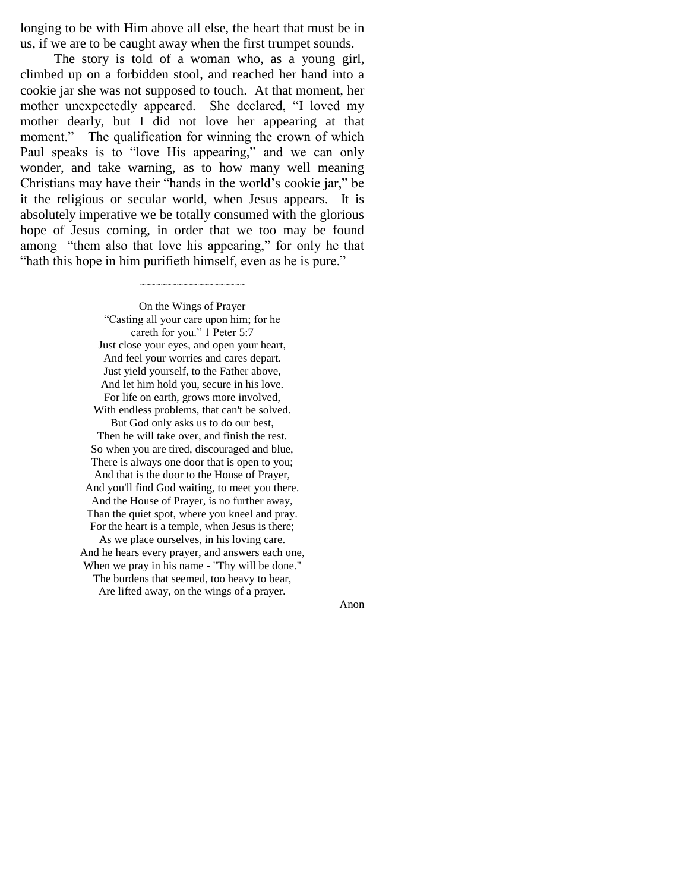longing to be with Him above all else, the heart that must be in us, if we are to be caught away when the first trumpet sounds.

 The story is told of a woman who, as a young girl, climbed up on a forbidden stool, and reached her hand into a cookie jar she was not supposed to touch. At that moment, her mother unexpectedly appeared. She declared, "I loved my mother dearly, but I did not love her appearing at that moment." The qualification for winning the crown of which Paul speaks is to "love His appearing," and we can only wonder, and take warning, as to how many well meaning Christians may have their "hands in the world"s cookie jar," be it the religious or secular world, when Jesus appears. It is absolutely imperative we be totally consumed with the glorious hope of Jesus coming, in order that we too may be found among "them also that love his appearing," for only he that "hath this hope in him purifieth himself, even as he is pure."

~~~~~~~~~~~~~~~~~~~~

On the Wings of Prayer "Casting all your care upon him; for he careth for you." 1 Peter 5:7 Just close your eyes, and open your heart, And feel your worries and cares depart. Just yield yourself, to the Father above, And let him hold you, secure in his love. For life on earth, grows more involved, With endless problems, that can't be solved. But God only asks us to do our best, Then he will take over, and finish the rest. So when you are tired, discouraged and blue, There is always one door that is open to you; And that is the door to the House of Prayer, And you'll find God waiting, to meet you there. And the House of Prayer, is no further away, Than the quiet spot, where you kneel and pray. For the heart is a temple, when Jesus is there; As we place ourselves, in his loving care. And he hears every prayer, and answers each one, When we pray in his name - "Thy will be done." The burdens that seemed, too heavy to bear, Are lifted away, on the wings of a prayer.

Anon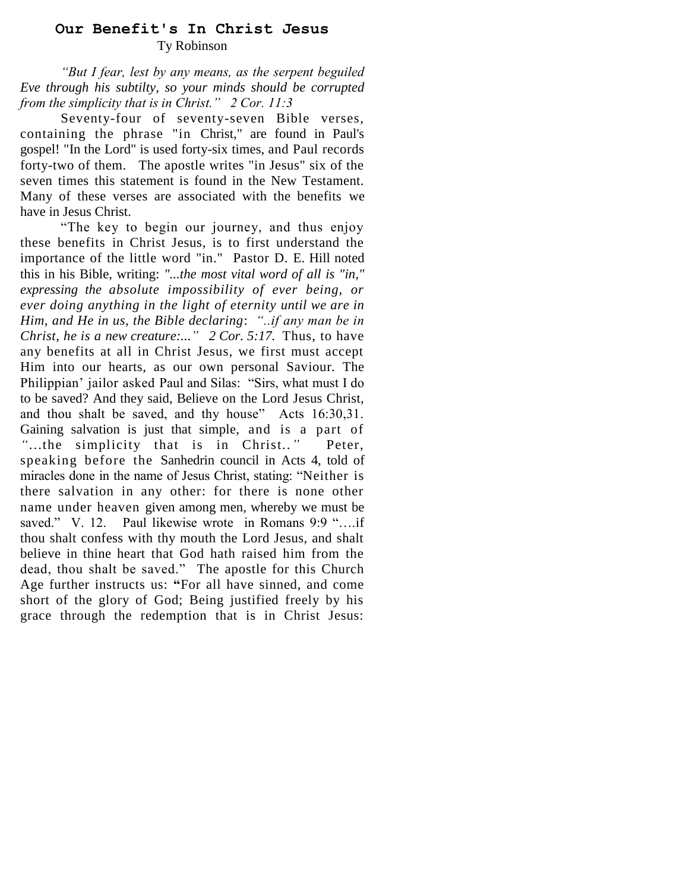# **Our Benefit's In Christ Jesus** Ty Robinson

*"But I fear, lest by any means, as the serpent beguiled Eve through his subtilty, so your minds should be corrupted from the simplicity that is in Christ." 2 Cor. 11:3*

Seventy-four of seventy-seven Bible verses, containing the phrase "in Christ," are found in Paul's gospel! "In the Lord" is used forty-six times, and Paul records forty-two of them. The apostle writes "in Jesus" six of the seven times this statement is found in the New Testament. Many of these verses are associated with the benefits we have in Jesus Christ.

"The key to begin our journey, and thus enjoy these benefits in Christ Jesus, is to first understand the importance of the little word "in."Pastor D. E. Hill noted this in his Bible, writing: *"...the most vital word of all is "in," expressing the absolute impossibility of ever being, or ever doing anything in the light of eternity until we are in Him, and He in us, the Bible declaring*: *"..if any man be in Christ, he is a new creature:..*.*" 2 Cor. 5:17.* Thus, to have any benefits at all in Christ Jesus, we first must accept Him into our hearts, as our own personal Saviour. The Philippian" jailor asked Paul and Silas: "Sirs, what must I do to be saved? And they said, Believe on the Lord Jesus Christ, and thou shalt be saved, and thy house" Acts 16:30,31. Gaining salvation is just that simple, and is a part of "...the simplicity that is in Christ.." Peter, speaking before the Sanhedrin council in Acts 4, told of miracles done in the name of Jesus Christ, stating: "Neither is there salvation in any other: for there is none other name under heaven given among men, whereby we must be saved." V. 12. Paul likewise wrote in Romans 9:9 "....if thou shalt confess with thy mouth the Lord Jesus, and shalt believe in thine heart that God hath raised him from the dead, thou shalt be saved." The apostle for this Church Age further instructs us: **"**For all have sinned, and come short of the glory of God; Being justified freely by his grace through the redemption that is in Christ Jesus: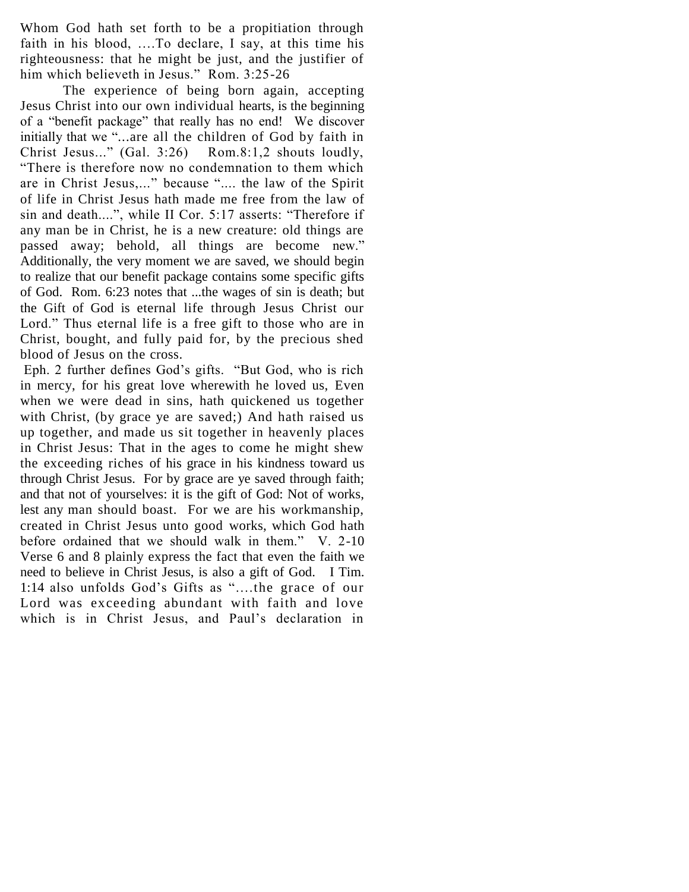Whom God hath set forth to be a propitiation through faith in his blood, ….To declare, I say, at this time his righteousness: that he might be just, and the justifier of him which believeth in Jesus." Rom. 3:25-26

 The experience of being born again, accepting Jesus Christ into our own individual hearts, is the beginning of a "benefit package" that really has no end! We discover initially that we "...are all the children of God by faith in Christ Jesus..." (Gal. 3:26) Rom.8:1,2 shouts loudly, "There is therefore now no condemnation to them which are in Christ Jesus,..." because ".... the law of the Spirit of life in Christ Jesus hath made me free from the law of sin and death....", while II Cor. 5:17 asserts: "Therefore if any man be in Christ, he is a new creature: old things are passed away; behold, all things are become new." Additionally, the very moment we are saved, we should begin to realize that our benefit package contains some specific gifts of God. Rom. 6:23 notes that ...the wages of sin is death; but the Gift of God is eternal life through Jesus Christ our Lord." Thus eternal life is a free gift to those who are in Christ, bought, and fully paid for, by the precious shed blood of Jesus on the cross.

Eph. 2 further defines God"s gifts. "But God, who is rich in mercy, for his great love wherewith he loved us, Even when we were dead in sins, hath quickened us together with Christ, (by grace ye are saved;) And hath raised us up together, and made us sit together in heavenly places in Christ Jesus: That in the ages to come he might shew the exceeding riches of his grace in his kindness toward us through Christ Jesus. For by grace are ye saved through faith; and that not of yourselves: it is the gift of God: Not of works, lest any man should boast. For we are his workmanship, created in Christ Jesus unto good works, which God hath before ordained that we should walk in them." V. 2-10 Verse 6 and 8 plainly express the fact that even the faith we need to believe in Christ Jesus, is also a gift of God. I Tim. 1:14 also unfolds God"s Gifts as "….the grace of our Lord was exceeding abundant with faith and love which is in Christ Jesus, and Paul"s declaration in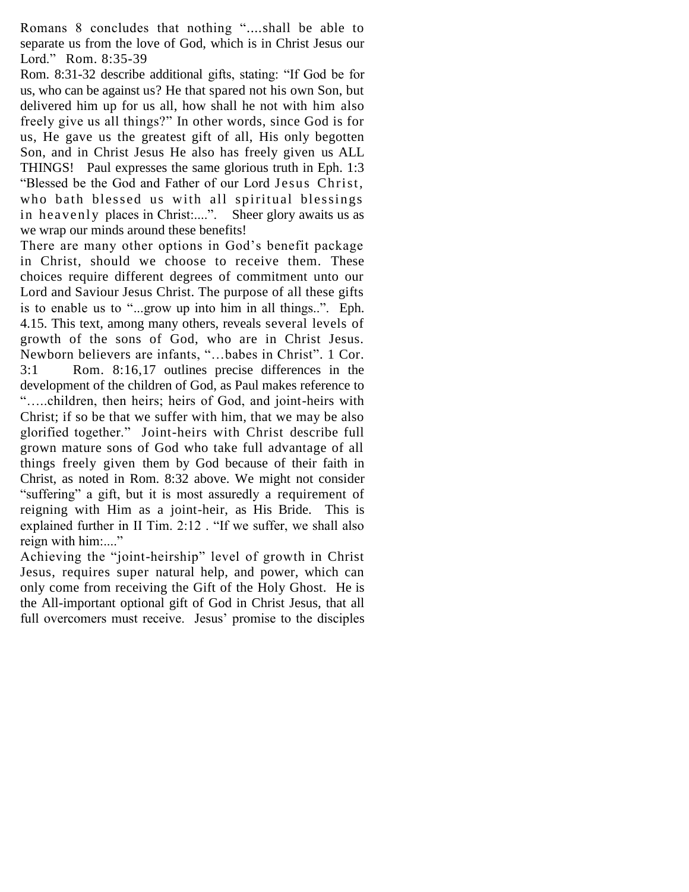Romans 8 concludes that nothing "*....*shall be able to separate us from the love of God, which is in Christ Jesus our Lord."Rom. 8:35-39

Rom. 8:31-32 describe additional gifts, stating: "If God be for us, who can be against us? He that spared not his own Son, but delivered him up for us all, how shall he not with him also freely give us all things?" In other words, since God is for us, He gave us the greatest gift of all, His only begotten Son, and in Christ Jesus He also has freely given us ALL THINGS! Paul expresses the same glorious truth in Eph. 1:3 "Blessed be the God and Father of our Lord Jesus Christ, who bath blessed us with all spiritual blessings in heavenly places in Christ:....". Sheer glory awaits us as we wrap our minds around these benefits!

There are many other options in God's benefit package in Christ, should we choose to receive them. These choices require different degrees of commitment unto our Lord and Saviour Jesus Christ. The purpose of all these gifts is to enable us to "...grow up into him in all things..". Eph. 4.15. This text, among many others, reveals several levels of growth of the sons of God, who are in Christ Jesus. Newborn believers are infants, "…babes in Christ"*.* 1 Cor. 3:1 Rom. 8:16,17 outlines precise differences in the development of the children of God, as Paul makes reference to "…..children, then heirs; heirs of God, and joint-heirs with Christ; if so be that we suffer with him, that we may be also glorified together." Joint-heirs with Christ describe full grown mature sons of God who take full advantage of all things freely given them by God because of their faith in Christ, as noted in Rom. 8:32 above. We might not consider "suffering" a gift, but it is most assuredly a requirement of reigning with Him as a joint-heir, as His Bride. This is explained further in II Tim. 2:12 . "If we suffer, we shall also reign with him:...."

Achieving the "joint-heirship" level of growth in Christ Jesus, requires super natural help, and power, which can only come from receiving the Gift of the Holy Ghost. He is the All-important optional gift of God in Christ Jesus, that all full overcomers must receive. Jesus' promise to the disciples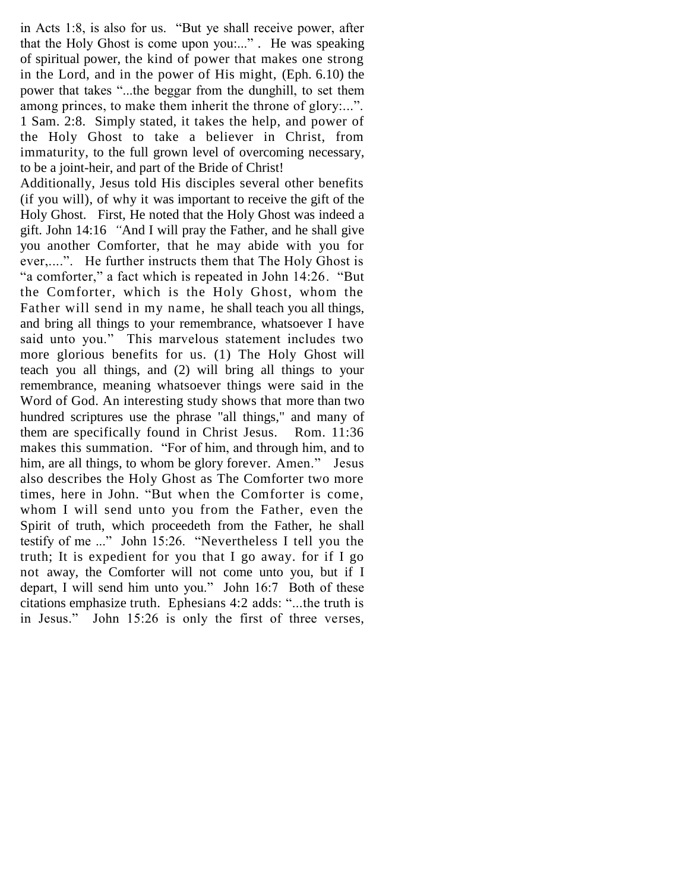in Acts 1:8, is also for us. "But ye shall receive power, after that the Holy Ghost is come upon you:..." *.* He was speaking of spiritual power, the kind of power that makes one strong in the Lord, and in the power of His might, (Eph. 6.10) the power that takes "...the beggar from the dunghill, to set them among princes, to make them inherit the throne of glory:...". 1 Sam. 2:8. Simply stated, it takes the help, and power of the Holy Ghost to take a believer in Christ, from immaturity, to the full grown level of overcoming necessary, to be a joint-heir, and part of the Bride of Christ!

Additionally, Jesus told His disciples several other benefits (if you will), of why it was important to receive the gift of the Holy Ghost. First, He noted that the Holy Ghost was indeed a gift. John 14:16 *"*And I will pray the Father, and he shall give you another Comforter, that he may abide with you for ever,....". He further instructs them that The Holy Ghost is "a comforter," a fact which is repeated in John 14:26. "But the Comforter, which is the Holy Ghost, whom the Father will send in my name, he shall teach you all things, and bring all things to your remembrance, whatsoever I have said unto you." This marvelous statement includes two more glorious benefits for us. (1) The Holy Ghost will teach you all things, and (2) will bring all things to your remembrance, meaning whatsoever things were said in the Word of God. An interesting study shows that more than two hundred scriptures use the phrase "all things," and many of them are specifically found in Christ Jesus. Rom. 11:36 makes this summation. "For of him, and through him, and to him, are all things, to whom be glory forever*.* Amen." Jesus also describes the Holy Ghost as The Comforter two more times, here in John. "But when the Comforter is come, whom I will send unto you from the Father, even the Spirit of truth, which proceedeth from the Father, he shall testify of me ..." John 15:26. "Nevertheless I tell you the truth; It is expedient for you that I go away. for if I go not away, the Comforter will not come unto you, but if I depart, I will send him unto you." John 16:7 Both of these citations emphasize truth. Ephesians 4:2 adds: "...the truth is in Jesus." John 15:26 is only the first of three verses,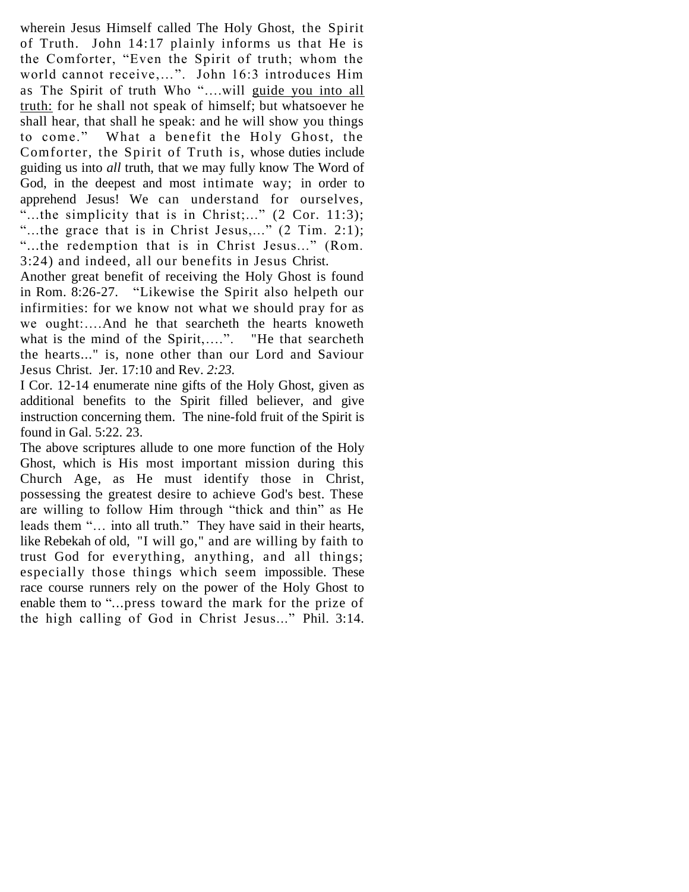wherein Jesus Himself called The Holy Ghost, the Spirit of Truth. John 14:17 plainly informs us that He is the Comforter, "Even the Spirit of truth; whom the world cannot receive,…". John 16:3 introduces Him as The Spirit of truth Who "….will guide you into all truth: for he shall not speak of himself; but whatsoever he shall hear, that shall he speak: and he will show you things to come." What a benefit the Holy Ghost, the Comforter, the Spirit of Truth is, whose duties include guiding us into *all* truth, that we may fully know The Word of God, in the deepest and most intimate way; in order to apprehend Jesus! We can understand for ourselves, "...the simplicity that is in Christ;..."  $(2 \text{ Cor. } 11:3)$ ; "...the grace that is in Christ Jesus,..."  $(2$  Tim. 2:1); "...the redemption that is in Christ Jesus..." (Rom. 3:24) and indeed, all our benefits in Jesus Christ.

Another great benefit of receiving the Holy Ghost is found in Rom. 8:26-27. "Likewise the Spirit also helpeth our infirmities: for we know not what we should pray for as we ought:….And he that searcheth the hearts knoweth what is the mind of the Spirit,....". "He that searcheth the hearts..." is, none other than our Lord and Saviour Jesus Christ. Jer. 17:10 and Rev. *2:23.*

I Cor. 12-14 enumerate nine gifts of the Holy Ghost, given as additional benefits to the Spirit filled believer, and give instruction concerning them. The nine-fold fruit of the Spirit is found in Gal. 5:22. 23.

The above scriptures allude to one more function of the Holy Ghost, which is His most important mission during this Church Age, as He must identify those in Christ, possessing the greatest desire to achieve God's best. These are willing to follow Him through "thick and thin" as He leads them "… into all truth." They have said in their hearts, like Rebekah of old, "I will go," and are willing by faith to trust God for everything, anything, and all things; especially those things which seem impossible. These race course runners rely on the power of the Holy Ghost to enable them to "...press toward the mark for the prize of the high calling of God in Christ Jesus..." Phil. 3:14.